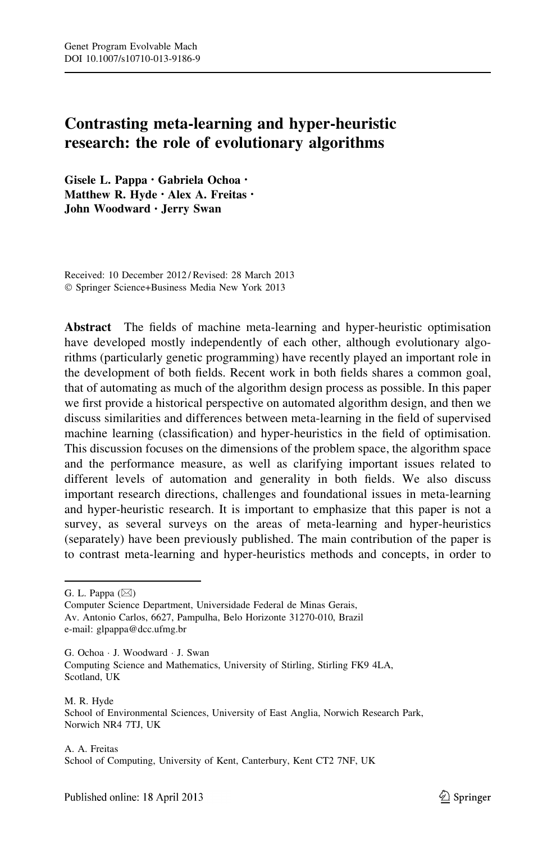# Contrasting meta-learning and hyper-heuristic research: the role of evolutionary algorithms

Gisele L. Pappa • Gabriela Ochoa • Matthew R. Hyde · Alex A. Freitas · John Woodward • Jerry Swan

Received: 10 December 2012 / Revised: 28 March 2013 - Springer Science+Business Media New York 2013

Abstract The fields of machine meta-learning and hyper-heuristic optimisation have developed mostly independently of each other, although evolutionary algorithms (particularly genetic programming) have recently played an important role in the development of both fields. Recent work in both fields shares a common goal, that of automating as much of the algorithm design process as possible. In this paper we first provide a historical perspective on automated algorithm design, and then we discuss similarities and differences between meta-learning in the field of supervised machine learning (classification) and hyper-heuristics in the field of optimisation. This discussion focuses on the dimensions of the problem space, the algorithm space and the performance measure, as well as clarifying important issues related to different levels of automation and generality in both fields. We also discuss important research directions, challenges and foundational issues in meta-learning and hyper-heuristic research. It is important to emphasize that this paper is not a survey, as several surveys on the areas of meta-learning and hyper-heuristics (separately) have been previously published. The main contribution of the paper is to contrast meta-learning and hyper-heuristics methods and concepts, in order to

G. L. Pappa  $(\boxtimes)$ 

M. R. Hyde School of Environmental Sciences, University of East Anglia, Norwich Research Park, Norwich NR4 7TJ, UK

A. A. Freitas School of Computing, University of Kent, Canterbury, Kent CT2 7NF, UK

Computer Science Department, Universidade Federal de Minas Gerais, Av. Antonio Carlos, 6627, Pampulha, Belo Horizonte 31270-010, Brazil e-mail: glpappa@dcc.ufmg.br

G. Ochoa - J. Woodward - J. Swan Computing Science and Mathematics, University of Stirling, Stirling FK9 4LA, Scotland, UK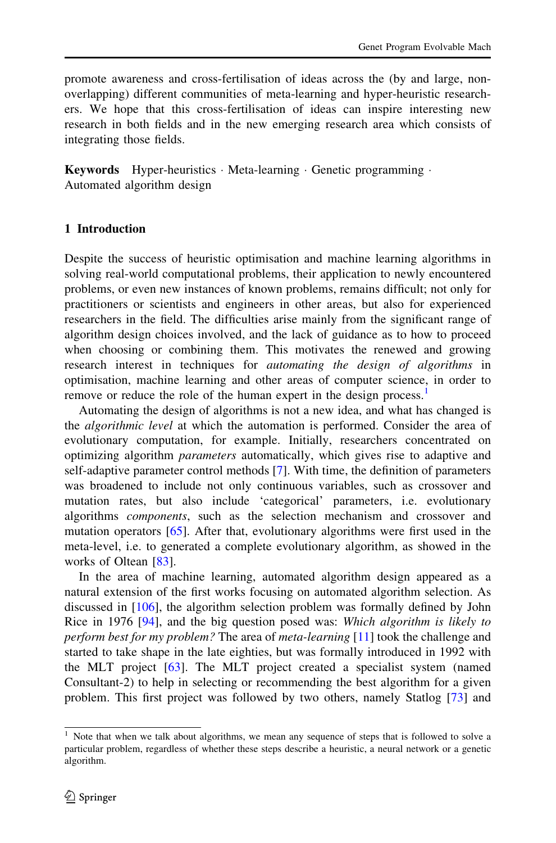promote awareness and cross-fertilisation of ideas across the (by and large, nonoverlapping) different communities of meta-learning and hyper-heuristic researchers. We hope that this cross-fertilisation of ideas can inspire interesting new research in both fields and in the new emerging research area which consists of integrating those fields.

Keywords Hyper-heuristics · Meta-learning · Genetic programming · Automated algorithm design

## 1 Introduction

Despite the success of heuristic optimisation and machine learning algorithms in solving real-world computational problems, their application to newly encountered problems, or even new instances of known problems, remains difficult; not only for practitioners or scientists and engineers in other areas, but also for experienced researchers in the field. The difficulties arise mainly from the significant range of algorithm design choices involved, and the lack of guidance as to how to proceed when choosing or combining them. This motivates the renewed and growing research interest in techniques for *automating the design of algorithms* in optimisation, machine learning and other areas of computer science, in order to remove or reduce the role of the human expert in the design process.<sup>1</sup>

Automating the design of algorithms is not a new idea, and what has changed is the *algorithmic level* at which the automation is performed. Consider the area of evolutionary computation, for example. Initially, researchers concentrated on optimizing algorithm parameters automatically, which gives rise to adaptive and self-adaptive parameter control methods [[7\]](#page-28-0). With time, the definition of parameters was broadened to include not only continuous variables, such as crossover and mutation rates, but also include 'categorical' parameters, i.e. evolutionary algorithms components, such as the selection mechanism and crossover and mutation operators [\[65](#page-30-0)]. After that, evolutionary algorithms were first used in the meta-level, i.e. to generated a complete evolutionary algorithm, as showed in the works of Oltean [[83\]](#page-31-0).

In the area of machine learning, automated algorithm design appeared as a natural extension of the first works focusing on automated algorithm selection. As discussed in [\[106](#page-32-0)], the algorithm selection problem was formally defined by John Rice in 1976 [\[94](#page-31-0)], and the big question posed was: Which algorithm is likely to perform best for my problem? The area of meta-learning [[11\]](#page-28-0) took the challenge and started to take shape in the late eighties, but was formally introduced in 1992 with the MLT project [[63\]](#page-30-0). The MLT project created a specialist system (named Consultant-2) to help in selecting or recommending the best algorithm for a given problem. This first project was followed by two others, namely Statlog [[73\]](#page-30-0) and

<sup>&</sup>lt;sup>1</sup> Note that when we talk about algorithms, we mean any sequence of steps that is followed to solve a particular problem, regardless of whether these steps describe a heuristic, a neural network or a genetic algorithm.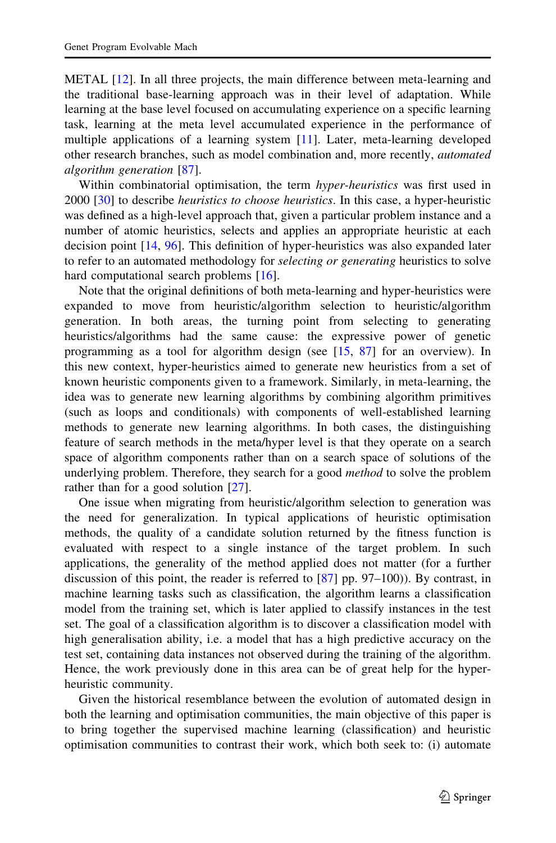METAL [[12\]](#page-28-0). In all three projects, the main difference between meta-learning and the traditional base-learning approach was in their level of adaptation. While learning at the base level focused on accumulating experience on a specific learning task, learning at the meta level accumulated experience in the performance of multiple applications of a learning system [[11\]](#page-28-0). Later, meta-learning developed other research branches, such as model combination and, more recently, automated algorithm generation [[87\]](#page-31-0).

Within combinatorial optimisation, the term hyper-heuristics was first used in 2000 [\[30](#page-29-0)] to describe heuristics to choose heuristics. In this case, a hyper-heuristic was defined as a high-level approach that, given a particular problem instance and a number of atomic heuristics, selects and applies an appropriate heuristic at each decision point [[14,](#page-28-0) [96](#page-31-0)]. This definition of hyper-heuristics was also expanded later to refer to an automated methodology for *selecting or generating* heuristics to solve hard computational search problems [[16\]](#page-28-0).

Note that the original definitions of both meta-learning and hyper-heuristics were expanded to move from heuristic/algorithm selection to heuristic/algorithm generation. In both areas, the turning point from selecting to generating heuristics/algorithms had the same cause: the expressive power of genetic programming as a tool for algorithm design (see  $[15, 87]$  $[15, 87]$  $[15, 87]$  $[15, 87]$  $[15, 87]$  for an overview). In this new context, hyper-heuristics aimed to generate new heuristics from a set of known heuristic components given to a framework. Similarly, in meta-learning, the idea was to generate new learning algorithms by combining algorithm primitives (such as loops and conditionals) with components of well-established learning methods to generate new learning algorithms. In both cases, the distinguishing feature of search methods in the meta/hyper level is that they operate on a search space of algorithm components rather than on a search space of solutions of the underlying problem. Therefore, they search for a good *method* to solve the problem rather than for a good solution [\[27](#page-28-0)].

One issue when migrating from heuristic/algorithm selection to generation was the need for generalization. In typical applications of heuristic optimisation methods, the quality of a candidate solution returned by the fitness function is evaluated with respect to a single instance of the target problem. In such applications, the generality of the method applied does not matter (for a further discussion of this point, the reader is referred to  $[87]$  $[87]$  pp. 97–100)). By contrast, in machine learning tasks such as classification, the algorithm learns a classification model from the training set, which is later applied to classify instances in the test set. The goal of a classification algorithm is to discover a classification model with high generalisation ability, i.e. a model that has a high predictive accuracy on the test set, containing data instances not observed during the training of the algorithm. Hence, the work previously done in this area can be of great help for the hyperheuristic community.

Given the historical resemblance between the evolution of automated design in both the learning and optimisation communities, the main objective of this paper is to bring together the supervised machine learning (classification) and heuristic optimisation communities to contrast their work, which both seek to: (i) automate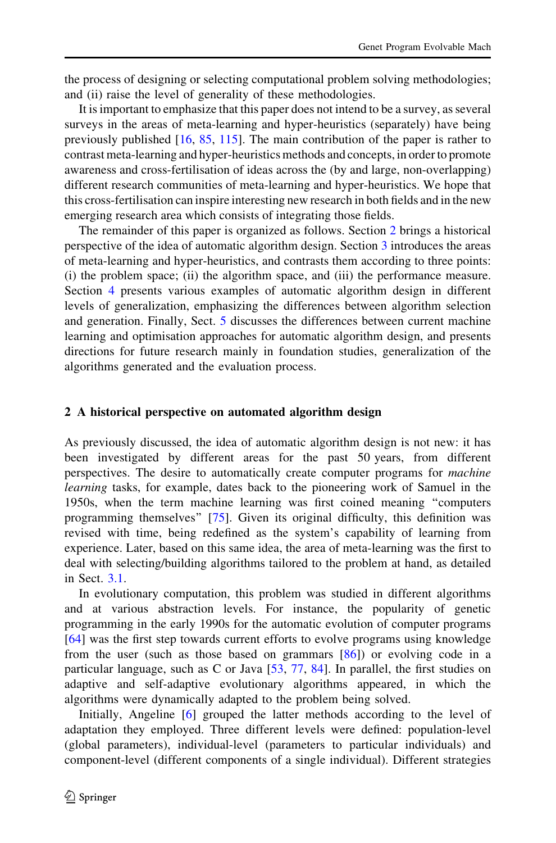the process of designing or selecting computational problem solving methodologies; and (ii) raise the level of generality of these methodologies.

It is important to emphasize that this paper does not intend to be a survey, as several surveys in the areas of meta-learning and hyper-heuristics (separately) have being previously published [[16,](#page-28-0) [85,](#page-31-0) [115](#page-32-0)]. The main contribution of the paper is rather to contrast meta-learning and hyper-heuristics methods and concepts, in order to promote awareness and cross-fertilisation of ideas across the (by and large, non-overlapping) different research communities of meta-learning and hyper-heuristics. We hope that this cross-fertilisation can inspire interesting new research in both fields and in the new emerging research area which consists of integrating those fields.

The remainder of this paper is organized as follows. Section 2 brings a historical perspective of the idea of automatic algorithm design. Section [3](#page-5-0) introduces the areas of meta-learning and hyper-heuristics, and contrasts them according to three points: (i) the problem space; (ii) the algorithm space, and (iii) the performance measure. Section [4](#page-14-0) presents various examples of automatic algorithm design in different levels of generalization, emphasizing the differences between algorithm selection and generation. Finally, Sect. [5](#page-23-0) discusses the differences between current machine learning and optimisation approaches for automatic algorithm design, and presents directions for future research mainly in foundation studies, generalization of the algorithms generated and the evaluation process.

#### 2 A historical perspective on automated algorithm design

As previously discussed, the idea of automatic algorithm design is not new: it has been investigated by different areas for the past 50 years, from different perspectives. The desire to automatically create computer programs for machine learning tasks, for example, dates back to the pioneering work of Samuel in the 1950s, when the term machine learning was first coined meaning ''computers programming themselves'' [[75\]](#page-30-0). Given its original difficulty, this definition was revised with time, being redefined as the system's capability of learning from experience. Later, based on this same idea, the area of meta-learning was the first to deal with selecting/building algorithms tailored to the problem at hand, as detailed in Sect. [3.1.](#page-5-0)

In evolutionary computation, this problem was studied in different algorithms and at various abstraction levels. For instance, the popularity of genetic programming in the early 1990s for the automatic evolution of computer programs [\[64](#page-30-0)] was the first step towards current efforts to evolve programs using knowledge from the user (such as those based on grammars [[86\]](#page-31-0)) or evolving code in a particular language, such as C or Java  $[53, 77, 84]$  $[53, 77, 84]$  $[53, 77, 84]$  $[53, 77, 84]$  $[53, 77, 84]$ . In parallel, the first studies on adaptive and self-adaptive evolutionary algorithms appeared, in which the algorithms were dynamically adapted to the problem being solved.

Initially, Angeline [[6\]](#page-28-0) grouped the latter methods according to the level of adaptation they employed. Three different levels were defined: population-level (global parameters), individual-level (parameters to particular individuals) and component-level (different components of a single individual). Different strategies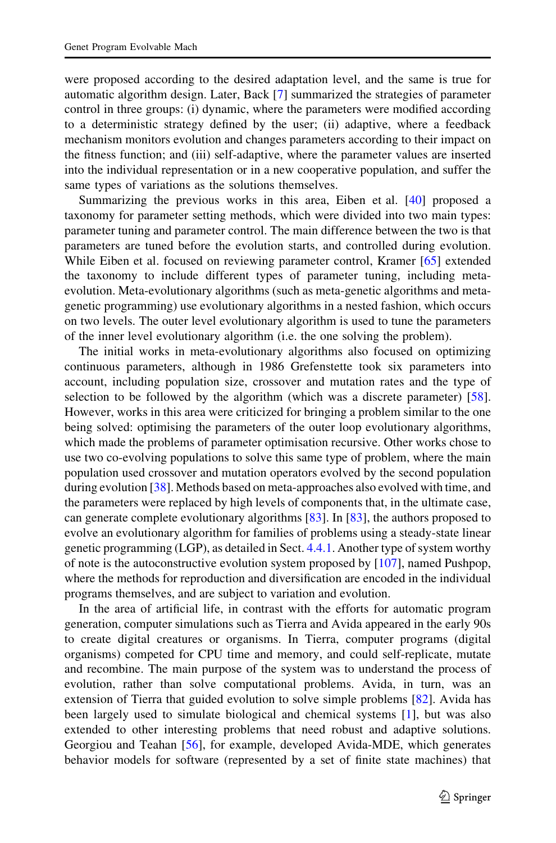were proposed according to the desired adaptation level, and the same is true for automatic algorithm design. Later, Back [\[7](#page-28-0)] summarized the strategies of parameter control in three groups: (i) dynamic, where the parameters were modified according to a deterministic strategy defined by the user; (ii) adaptive, where a feedback mechanism monitors evolution and changes parameters according to their impact on the fitness function; and (iii) self-adaptive, where the parameter values are inserted into the individual representation or in a new cooperative population, and suffer the same types of variations as the solutions themselves.

Summarizing the previous works in this area, Eiben et al. [\[40](#page-29-0)] proposed a taxonomy for parameter setting methods, which were divided into two main types: parameter tuning and parameter control. The main difference between the two is that parameters are tuned before the evolution starts, and controlled during evolution. While Eiben et al. focused on reviewing parameter control, Kramer [[65](#page-30-0)] extended the taxonomy to include different types of parameter tuning, including metaevolution. Meta-evolutionary algorithms (such as meta-genetic algorithms and metagenetic programming) use evolutionary algorithms in a nested fashion, which occurs on two levels. The outer level evolutionary algorithm is used to tune the parameters of the inner level evolutionary algorithm (i.e. the one solving the problem).

The initial works in meta-evolutionary algorithms also focused on optimizing continuous parameters, although in 1986 Grefenstette took six parameters into account, including population size, crossover and mutation rates and the type of selection to be followed by the algorithm (which was a discrete parameter) [[58\]](#page-30-0). However, works in this area were criticized for bringing a problem similar to the one being solved: optimising the parameters of the outer loop evolutionary algorithms, which made the problems of parameter optimisation recursive. Other works chose to use two co-evolving populations to solve this same type of problem, where the main population used crossover and mutation operators evolved by the second population during evolution [[38\]](#page-29-0). Methods based on meta-approaches also evolved with time, and the parameters were replaced by high levels of components that, in the ultimate case, can generate complete evolutionary algorithms  $[83]$  $[83]$ . In  $[83]$ , the authors proposed to evolve an evolutionary algorithm for families of problems using a steady-state linear genetic programming (LGP), as detailed in Sect. [4.4.1.](#page-20-0) Another type of system worthy of note is the autoconstructive evolution system proposed by [\[107](#page-32-0)], named Pushpop, where the methods for reproduction and diversification are encoded in the individual programs themselves, and are subject to variation and evolution.

In the area of artificial life, in contrast with the efforts for automatic program generation, computer simulations such as Tierra and Avida appeared in the early 90s to create digital creatures or organisms. In Tierra, computer programs (digital organisms) competed for CPU time and memory, and could self-replicate, mutate and recombine. The main purpose of the system was to understand the process of evolution, rather than solve computational problems. Avida, in turn, was an extension of Tierra that guided evolution to solve simple problems [[82\]](#page-31-0). Avida has been largely used to simulate biological and chemical systems [[1\]](#page-27-0), but was also extended to other interesting problems that need robust and adaptive solutions. Georgiou and Teahan [[56\]](#page-30-0), for example, developed Avida-MDE, which generates behavior models for software (represented by a set of finite state machines) that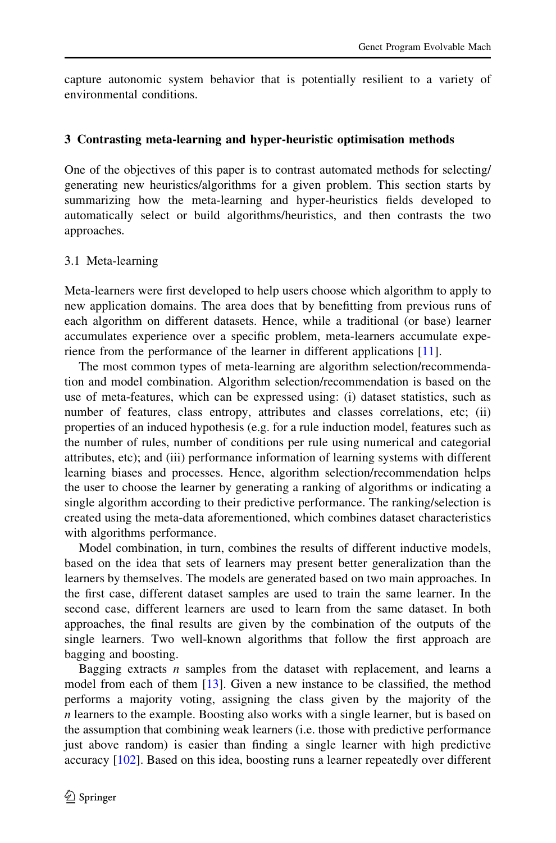<span id="page-5-0"></span>capture autonomic system behavior that is potentially resilient to a variety of environmental conditions.

## 3 Contrasting meta-learning and hyper-heuristic optimisation methods

One of the objectives of this paper is to contrast automated methods for selecting/ generating new heuristics/algorithms for a given problem. This section starts by summarizing how the meta-learning and hyper-heuristics fields developed to automatically select or build algorithms/heuristics, and then contrasts the two approaches.

## 3.1 Meta-learning

Meta-learners were first developed to help users choose which algorithm to apply to new application domains. The area does that by benefitting from previous runs of each algorithm on different datasets. Hence, while a traditional (or base) learner accumulates experience over a specific problem, meta-learners accumulate experience from the performance of the learner in different applications [[11\]](#page-28-0).

The most common types of meta-learning are algorithm selection/recommendation and model combination. Algorithm selection/recommendation is based on the use of meta-features, which can be expressed using: (i) dataset statistics, such as number of features, class entropy, attributes and classes correlations, etc; (ii) properties of an induced hypothesis (e.g. for a rule induction model, features such as the number of rules, number of conditions per rule using numerical and categorial attributes, etc); and (iii) performance information of learning systems with different learning biases and processes. Hence, algorithm selection/recommendation helps the user to choose the learner by generating a ranking of algorithms or indicating a single algorithm according to their predictive performance. The ranking/selection is created using the meta-data aforementioned, which combines dataset characteristics with algorithms performance.

Model combination, in turn, combines the results of different inductive models, based on the idea that sets of learners may present better generalization than the learners by themselves. The models are generated based on two main approaches. In the first case, different dataset samples are used to train the same learner. In the second case, different learners are used to learn from the same dataset. In both approaches, the final results are given by the combination of the outputs of the single learners. Two well-known algorithms that follow the first approach are bagging and boosting.

Bagging extracts  $n$  samples from the dataset with replacement, and learns a model from each of them [\[13](#page-28-0)]. Given a new instance to be classified, the method performs a majority voting, assigning the class given by the majority of the n learners to the example. Boosting also works with a single learner, but is based on the assumption that combining weak learners (i.e. those with predictive performance just above random) is easier than finding a single learner with high predictive accuracy [[102\]](#page-31-0). Based on this idea, boosting runs a learner repeatedly over different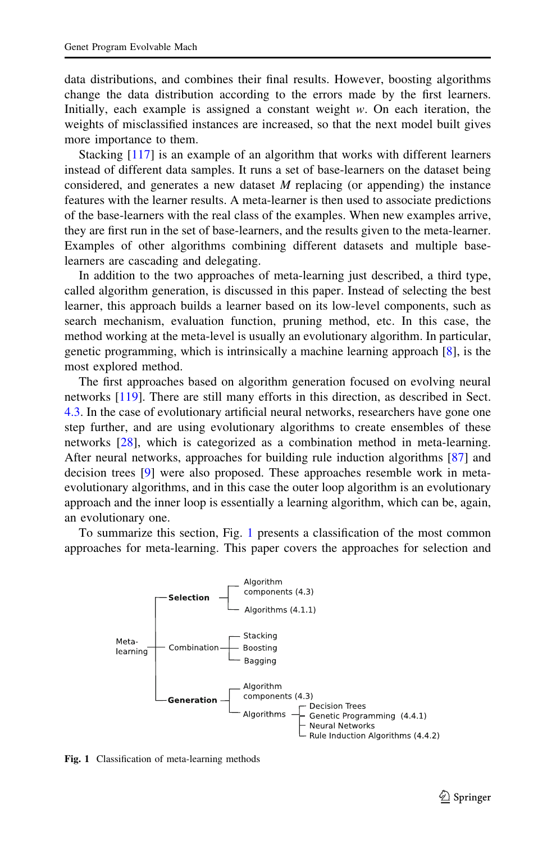<span id="page-6-0"></span>data distributions, and combines their final results. However, boosting algorithms change the data distribution according to the errors made by the first learners. Initially, each example is assigned a constant weight  $w$ . On each iteration, the weights of misclassified instances are increased, so that the next model built gives more importance to them.

Stacking [[117\]](#page-32-0) is an example of an algorithm that works with different learners instead of different data samples. It runs a set of base-learners on the dataset being considered, and generates a new dataset M replacing (or appending) the instance features with the learner results. A meta-learner is then used to associate predictions of the base-learners with the real class of the examples. When new examples arrive, they are first run in the set of base-learners, and the results given to the meta-learner. Examples of other algorithms combining different datasets and multiple baselearners are cascading and delegating.

In addition to the two approaches of meta-learning just described, a third type, called algorithm generation, is discussed in this paper. Instead of selecting the best learner, this approach builds a learner based on its low-level components, such as search mechanism, evaluation function, pruning method, etc. In this case, the method working at the meta-level is usually an evolutionary algorithm. In particular, genetic programming, which is intrinsically a machine learning approach [[8\]](#page-28-0), is the most explored method.

The first approaches based on algorithm generation focused on evolving neural networks [\[119](#page-32-0)]. There are still many efforts in this direction, as described in Sect. [4.3](#page-18-0). In the case of evolutionary artificial neural networks, researchers have gone one step further, and are using evolutionary algorithms to create ensembles of these networks [\[28](#page-28-0)], which is categorized as a combination method in meta-learning. After neural networks, approaches for building rule induction algorithms [\[87](#page-31-0)] and decision trees [\[9](#page-28-0)] were also proposed. These approaches resemble work in metaevolutionary algorithms, and in this case the outer loop algorithm is an evolutionary approach and the inner loop is essentially a learning algorithm, which can be, again, an evolutionary one.

To summarize this section, Fig. 1 presents a classification of the most common approaches for meta-learning. This paper covers the approaches for selection and



Fig. 1 Classification of meta-learning methods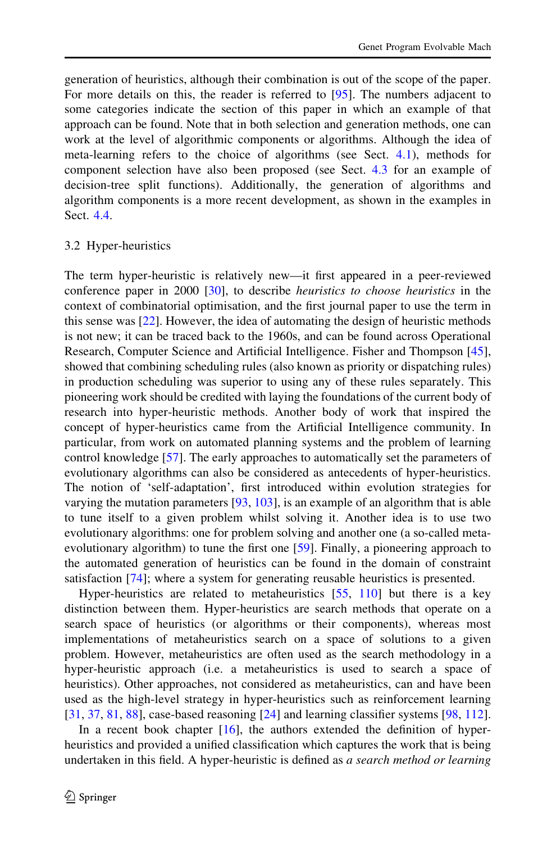<span id="page-7-0"></span>generation of heuristics, although their combination is out of the scope of the paper. For more details on this, the reader is referred to [\[95](#page-31-0)]. The numbers adjacent to some categories indicate the section of this paper in which an example of that approach can be found. Note that in both selection and generation methods, one can work at the level of algorithmic components or algorithms. Although the idea of meta-learning refers to the choice of algorithms (see Sect.  $4.1$ ), methods for component selection have also been proposed (see Sect. [4.3](#page-18-0) for an example of decision-tree split functions). Additionally, the generation of algorithms and algorithm components is a more recent development, as shown in the examples in Sect. [4.4.](#page-19-0)

#### 3.2 Hyper-heuristics

The term hyper-heuristic is relatively new—it first appeared in a peer-reviewed conference paper in 2000 [[30\]](#page-29-0), to describe heuristics to choose heuristics in the context of combinatorial optimisation, and the first journal paper to use the term in this sense was [[22\]](#page-28-0). However, the idea of automating the design of heuristic methods is not new; it can be traced back to the 1960s, and can be found across Operational Research, Computer Science and Artificial Intelligence. Fisher and Thompson [[45\]](#page-29-0), showed that combining scheduling rules (also known as priority or dispatching rules) in production scheduling was superior to using any of these rules separately. This pioneering work should be credited with laying the foundations of the current body of research into hyper-heuristic methods. Another body of work that inspired the concept of hyper-heuristics came from the Artificial Intelligence community. In particular, from work on automated planning systems and the problem of learning control knowledge [[57\]](#page-30-0). The early approaches to automatically set the parameters of evolutionary algorithms can also be considered as antecedents of hyper-heuristics. The notion of 'self-adaptation', first introduced within evolution strategies for varying the mutation parameters [\[93](#page-31-0), [103](#page-32-0)], is an example of an algorithm that is able to tune itself to a given problem whilst solving it. Another idea is to use two evolutionary algorithms: one for problem solving and another one (a so-called metaevolutionary algorithm) to tune the first one [\[59](#page-30-0)]. Finally, a pioneering approach to the automated generation of heuristics can be found in the domain of constraint satisfaction [[74\]](#page-30-0); where a system for generating reusable heuristics is presented.

Hyper-heuristics are related to metaheuristics  $[55, 110]$  $[55, 110]$  $[55, 110]$  $[55, 110]$  but there is a key distinction between them. Hyper-heuristics are search methods that operate on a search space of heuristics (or algorithms or their components), whereas most implementations of metaheuristics search on a space of solutions to a given problem. However, metaheuristics are often used as the search methodology in a hyper-heuristic approach (i.e. a metaheuristics is used to search a space of heuristics). Other approaches, not considered as metaheuristics, can and have been used as the high-level strategy in hyper-heuristics such as reinforcement learning [\[31](#page-29-0), [37](#page-29-0), [81](#page-31-0), [88](#page-31-0)], case-based reasoning [[24\]](#page-28-0) and learning classifier systems [[98](#page-31-0), [112\]](#page-32-0).

In a recent book chapter  $[16]$  $[16]$ , the authors extended the definition of hyperheuristics and provided a unified classification which captures the work that is being undertaken in this field. A hyper-heuristic is defined as a search method or learning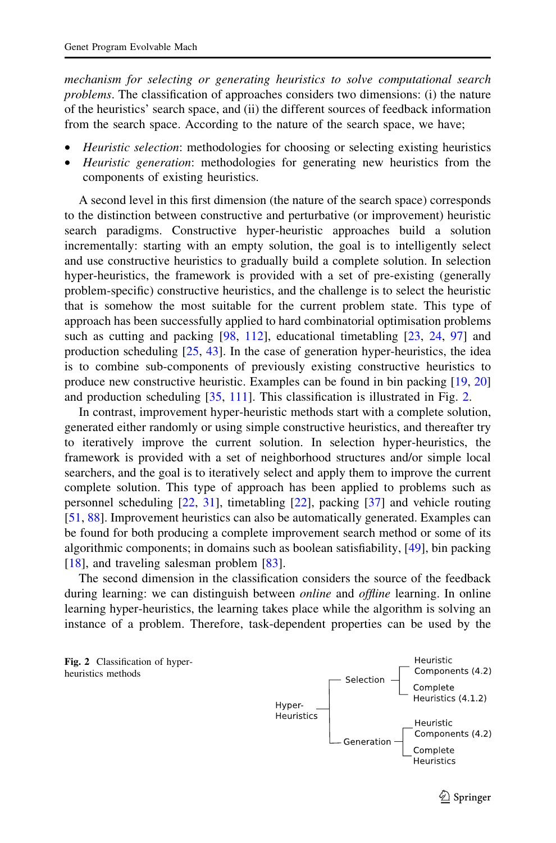<span id="page-8-0"></span>mechanism for selecting or generating heuristics to solve computational search problems. The classification of approaches considers two dimensions: (i) the nature of the heuristics' search space, and (ii) the different sources of feedback information from the search space. According to the nature of the search space, we have;

- Heuristic selection: methodologies for choosing or selecting existing heuristics
- Heuristic generation: methodologies for generating new heuristics from the components of existing heuristics.

A second level in this first dimension (the nature of the search space) corresponds to the distinction between constructive and perturbative (or improvement) heuristic search paradigms. Constructive hyper-heuristic approaches build a solution incrementally: starting with an empty solution, the goal is to intelligently select and use constructive heuristics to gradually build a complete solution. In selection hyper-heuristics, the framework is provided with a set of pre-existing (generally problem-specific) constructive heuristics, and the challenge is to select the heuristic that is somehow the most suitable for the current problem state. This type of approach has been successfully applied to hard combinatorial optimisation problems such as cutting and packing [[98,](#page-31-0) [112](#page-32-0)], educational timetabling [[23,](#page-28-0) [24](#page-28-0), [97](#page-31-0)] and production scheduling  $[25, 43]$  $[25, 43]$  $[25, 43]$ . In the case of generation hyper-heuristics, the idea is to combine sub-components of previously existing constructive heuristics to produce new constructive heuristic. Examples can be found in bin packing [[19,](#page-28-0) [20\]](#page-28-0) and production scheduling [\[35](#page-29-0), [111](#page-32-0)]. This classification is illustrated in Fig. 2.

In contrast, improvement hyper-heuristic methods start with a complete solution, generated either randomly or using simple constructive heuristics, and thereafter try to iteratively improve the current solution. In selection hyper-heuristics, the framework is provided with a set of neighborhood structures and/or simple local searchers, and the goal is to iteratively select and apply them to improve the current complete solution. This type of approach has been applied to problems such as personnel scheduling [\[22](#page-28-0), [31](#page-29-0)], timetabling [[22\]](#page-28-0), packing [\[37](#page-29-0)] and vehicle routing [\[51](#page-29-0), [88](#page-31-0)]. Improvement heuristics can also be automatically generated. Examples can be found for both producing a complete improvement search method or some of its algorithmic components; in domains such as boolean satisfiability, [\[49](#page-29-0)], bin packing [\[18](#page-28-0)], and traveling salesman problem [\[83](#page-31-0)].

The second dimension in the classification considers the source of the feedback during learning: we can distinguish between *online* and *offline* learning. In online learning hyper-heuristics, the learning takes place while the algorithm is solving an instance of a problem. Therefore, task-dependent properties can be used by the



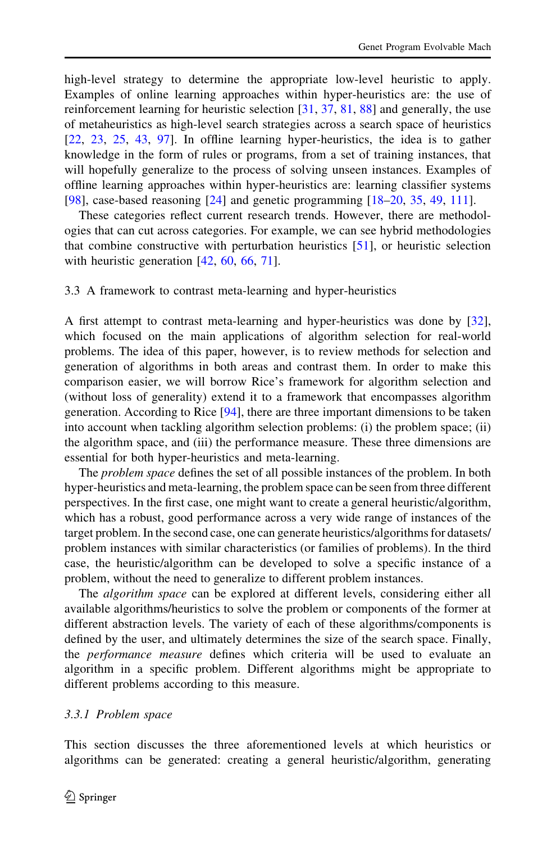<span id="page-9-0"></span>high-level strategy to determine the appropriate low-level heuristic to apply. Examples of online learning approaches within hyper-heuristics are: the use of reinforcement learning for heuristic selection  $[31, 37, 81, 88]$  $[31, 37, 81, 88]$  $[31, 37, 81, 88]$  $[31, 37, 81, 88]$  $[31, 37, 81, 88]$  $[31, 37, 81, 88]$  $[31, 37, 81, 88]$  $[31, 37, 81, 88]$  $[31, 37, 81, 88]$  and generally, the use of metaheuristics as high-level search strategies across a search space of heuristics [\[22](#page-28-0), [23,](#page-28-0) [25](#page-28-0), [43,](#page-29-0) [97](#page-31-0)]. In offline learning hyper-heuristics, the idea is to gather knowledge in the form of rules or programs, from a set of training instances, that will hopefully generalize to the process of solving unseen instances. Examples of offline learning approaches within hyper-heuristics are: learning classifier systems [\[98](#page-31-0)], case-based reasoning [[24\]](#page-28-0) and genetic programming [[18–20,](#page-28-0) [35](#page-29-0), [49](#page-29-0), [111\]](#page-32-0).

These categories reflect current research trends. However, there are methodologies that can cut across categories. For example, we can see hybrid methodologies that combine constructive with perturbation heuristics [\[51](#page-29-0)], or heuristic selection with heuristic generation  $[42, 60, 66, 71]$  $[42, 60, 66, 71]$  $[42, 60, 66, 71]$  $[42, 60, 66, 71]$  $[42, 60, 66, 71]$  $[42, 60, 66, 71]$  $[42, 60, 66, 71]$  $[42, 60, 66, 71]$  $[42, 60, 66, 71]$ .

## 3.3 A framework to contrast meta-learning and hyper-heuristics

A first attempt to contrast meta-learning and hyper-heuristics was done by [[32\]](#page-29-0), which focused on the main applications of algorithm selection for real-world problems. The idea of this paper, however, is to review methods for selection and generation of algorithms in both areas and contrast them. In order to make this comparison easier, we will borrow Rice's framework for algorithm selection and (without loss of generality) extend it to a framework that encompasses algorithm generation. According to Rice [\[94](#page-31-0)], there are three important dimensions to be taken into account when tackling algorithm selection problems: (i) the problem space; (ii) the algorithm space, and (iii) the performance measure. These three dimensions are essential for both hyper-heuristics and meta-learning.

The *problem space* defines the set of all possible instances of the problem. In both hyper-heuristics and meta-learning, the problem space can be seen from three different perspectives. In the first case, one might want to create a general heuristic/algorithm, which has a robust, good performance across a very wide range of instances of the target problem. In the second case, one can generate heuristics/algorithms for datasets/ problem instances with similar characteristics (or families of problems). In the third case, the heuristic/algorithm can be developed to solve a specific instance of a problem, without the need to generalize to different problem instances.

The *algorithm space* can be explored at different levels, considering either all available algorithms/heuristics to solve the problem or components of the former at different abstraction levels. The variety of each of these algorithms/components is defined by the user, and ultimately determines the size of the search space. Finally, the performance measure defines which criteria will be used to evaluate an algorithm in a specific problem. Different algorithms might be appropriate to different problems according to this measure.

## 3.3.1 Problem space

This section discusses the three aforementioned levels at which heuristics or algorithms can be generated: creating a general heuristic/algorithm, generating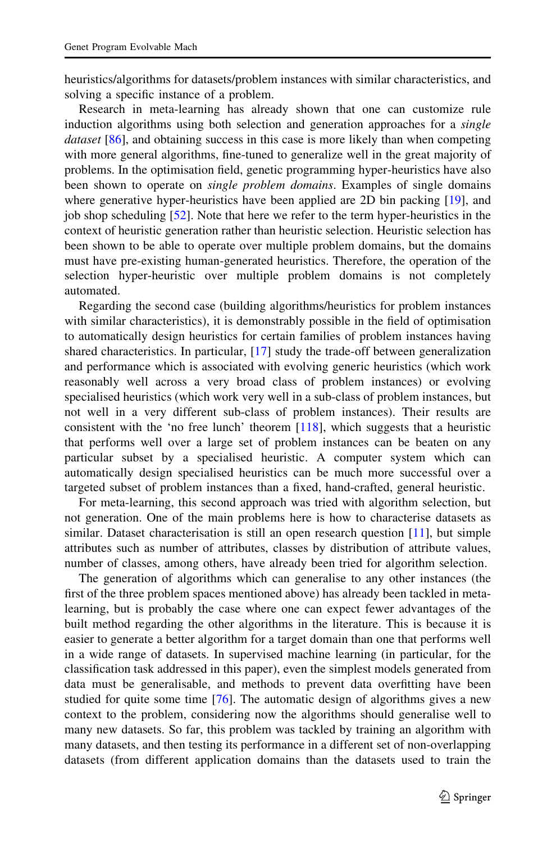heuristics/algorithms for datasets/problem instances with similar characteristics, and solving a specific instance of a problem.

Research in meta-learning has already shown that one can customize rule induction algorithms using both selection and generation approaches for a *single* dataset [\[86](#page-31-0)], and obtaining success in this case is more likely than when competing with more general algorithms, fine-tuned to generalize well in the great majority of problems. In the optimisation field, genetic programming hyper-heuristics have also been shown to operate on *single problem domains*. Examples of single domains where generative hyper-heuristics have been applied are 2D bin packing [[19\]](#page-28-0), and job shop scheduling [\[52](#page-29-0)]. Note that here we refer to the term hyper-heuristics in the context of heuristic generation rather than heuristic selection. Heuristic selection has been shown to be able to operate over multiple problem domains, but the domains must have pre-existing human-generated heuristics. Therefore, the operation of the selection hyper-heuristic over multiple problem domains is not completely automated.

Regarding the second case (building algorithms/heuristics for problem instances with similar characteristics), it is demonstrably possible in the field of optimisation to automatically design heuristics for certain families of problem instances having shared characteristics. In particular, [\[17](#page-28-0)] study the trade-off between generalization and performance which is associated with evolving generic heuristics (which work reasonably well across a very broad class of problem instances) or evolving specialised heuristics (which work very well in a sub-class of problem instances, but not well in a very different sub-class of problem instances). Their results are consistent with the 'no free lunch' theorem [\[118](#page-32-0)], which suggests that a heuristic that performs well over a large set of problem instances can be beaten on any particular subset by a specialised heuristic. A computer system which can automatically design specialised heuristics can be much more successful over a targeted subset of problem instances than a fixed, hand-crafted, general heuristic.

For meta-learning, this second approach was tried with algorithm selection, but not generation. One of the main problems here is how to characterise datasets as similar. Dataset characterisation is still an open research question [\[11](#page-28-0)], but simple attributes such as number of attributes, classes by distribution of attribute values, number of classes, among others, have already been tried for algorithm selection.

The generation of algorithms which can generalise to any other instances (the first of the three problem spaces mentioned above) has already been tackled in metalearning, but is probably the case where one can expect fewer advantages of the built method regarding the other algorithms in the literature. This is because it is easier to generate a better algorithm for a target domain than one that performs well in a wide range of datasets. In supervised machine learning (in particular, for the classification task addressed in this paper), even the simplest models generated from data must be generalisable, and methods to prevent data overfitting have been studied for quite some time [[76\]](#page-30-0). The automatic design of algorithms gives a new context to the problem, considering now the algorithms should generalise well to many new datasets. So far, this problem was tackled by training an algorithm with many datasets, and then testing its performance in a different set of non-overlapping datasets (from different application domains than the datasets used to train the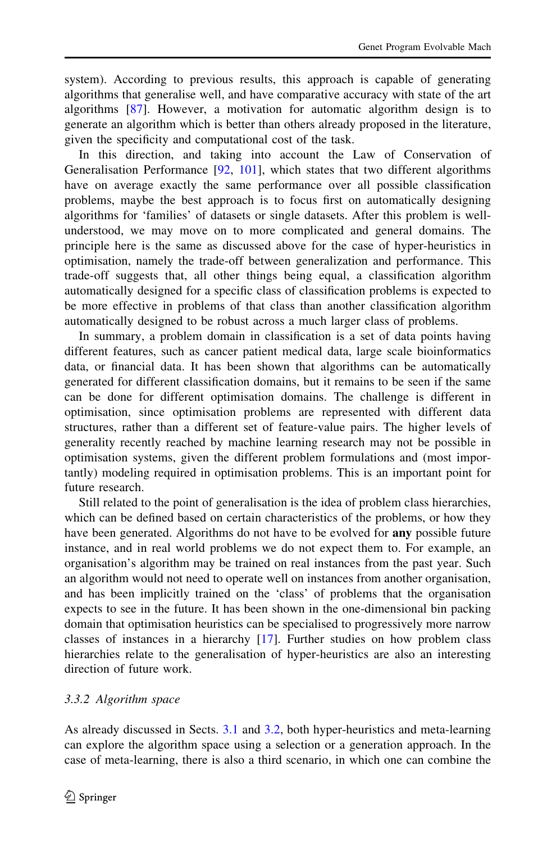system). According to previous results, this approach is capable of generating algorithms that generalise well, and have comparative accuracy with state of the art algorithms [[87\]](#page-31-0). However, a motivation for automatic algorithm design is to generate an algorithm which is better than others already proposed in the literature, given the specificity and computational cost of the task.

In this direction, and taking into account the Law of Conservation of Generalisation Performance [\[92](#page-31-0), [101\]](#page-31-0), which states that two different algorithms have on average exactly the same performance over all possible classification problems, maybe the best approach is to focus first on automatically designing algorithms for 'families' of datasets or single datasets. After this problem is wellunderstood, we may move on to more complicated and general domains. The principle here is the same as discussed above for the case of hyper-heuristics in optimisation, namely the trade-off between generalization and performance. This trade-off suggests that, all other things being equal, a classification algorithm automatically designed for a specific class of classification problems is expected to be more effective in problems of that class than another classification algorithm automatically designed to be robust across a much larger class of problems.

In summary, a problem domain in classification is a set of data points having different features, such as cancer patient medical data, large scale bioinformatics data, or financial data. It has been shown that algorithms can be automatically generated for different classification domains, but it remains to be seen if the same can be done for different optimisation domains. The challenge is different in optimisation, since optimisation problems are represented with different data structures, rather than a different set of feature-value pairs. The higher levels of generality recently reached by machine learning research may not be possible in optimisation systems, given the different problem formulations and (most importantly) modeling required in optimisation problems. This is an important point for future research.

Still related to the point of generalisation is the idea of problem class hierarchies, which can be defined based on certain characteristics of the problems, or how they have been generated. Algorithms do not have to be evolved for **any** possible future instance, and in real world problems we do not expect them to. For example, an organisation's algorithm may be trained on real instances from the past year. Such an algorithm would not need to operate well on instances from another organisation, and has been implicitly trained on the 'class' of problems that the organisation expects to see in the future. It has been shown in the one-dimensional bin packing domain that optimisation heuristics can be specialised to progressively more narrow classes of instances in a hierarchy [\[17](#page-28-0)]. Further studies on how problem class hierarchies relate to the generalisation of hyper-heuristics are also an interesting direction of future work.

# 3.3.2 Algorithm space

As already discussed in Sects. [3.1](#page-5-0) and [3.2](#page-7-0), both hyper-heuristics and meta-learning can explore the algorithm space using a selection or a generation approach. In the case of meta-learning, there is also a third scenario, in which one can combine the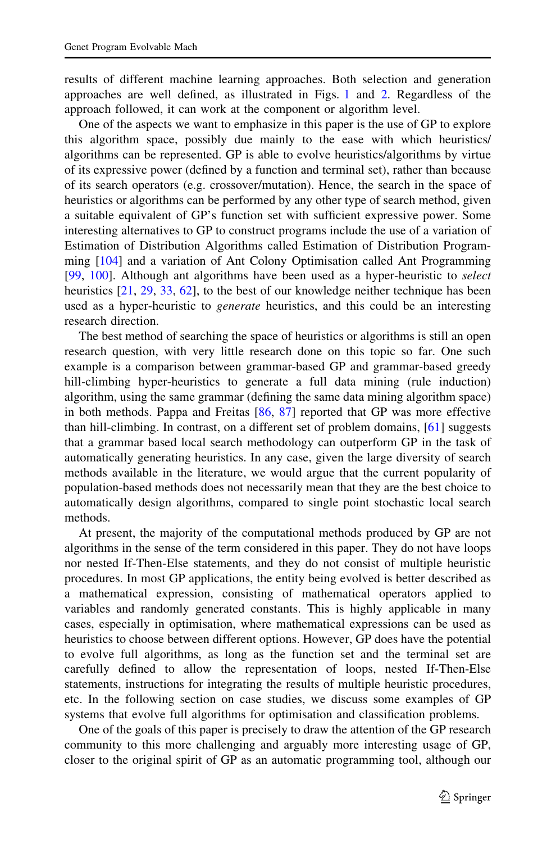results of different machine learning approaches. Both selection and generation approaches are well defined, as illustrated in Figs. [1](#page-6-0) and [2](#page-8-0). Regardless of the approach followed, it can work at the component or algorithm level.

One of the aspects we want to emphasize in this paper is the use of GP to explore this algorithm space, possibly due mainly to the ease with which heuristics/ algorithms can be represented. GP is able to evolve heuristics/algorithms by virtue of its expressive power (defined by a function and terminal set), rather than because of its search operators (e.g. crossover/mutation). Hence, the search in the space of heuristics or algorithms can be performed by any other type of search method, given a suitable equivalent of GP's function set with sufficient expressive power. Some interesting alternatives to GP to construct programs include the use of a variation of Estimation of Distribution Algorithms called Estimation of Distribution Programming [[104\]](#page-32-0) and a variation of Ant Colony Optimisation called Ant Programming [\[99](#page-31-0), [100\]](#page-31-0). Although ant algorithms have been used as a hyper-heuristic to select heuristics [[21,](#page-28-0) [29](#page-29-0), [33,](#page-29-0) [62](#page-30-0)], to the best of our knowledge neither technique has been used as a hyper-heuristic to *generate* heuristics, and this could be an interesting research direction.

The best method of searching the space of heuristics or algorithms is still an open research question, with very little research done on this topic so far. One such example is a comparison between grammar-based GP and grammar-based greedy hill-climbing hyper-heuristics to generate a full data mining (rule induction) algorithm, using the same grammar (defining the same data mining algorithm space) in both methods. Pappa and Freitas [\[86](#page-31-0), [87\]](#page-31-0) reported that GP was more effective than hill-climbing. In contrast, on a different set of problem domains, [\[61](#page-30-0)] suggests that a grammar based local search methodology can outperform GP in the task of automatically generating heuristics. In any case, given the large diversity of search methods available in the literature, we would argue that the current popularity of population-based methods does not necessarily mean that they are the best choice to automatically design algorithms, compared to single point stochastic local search methods.

At present, the majority of the computational methods produced by GP are not algorithms in the sense of the term considered in this paper. They do not have loops nor nested If-Then-Else statements, and they do not consist of multiple heuristic procedures. In most GP applications, the entity being evolved is better described as a mathematical expression, consisting of mathematical operators applied to variables and randomly generated constants. This is highly applicable in many cases, especially in optimisation, where mathematical expressions can be used as heuristics to choose between different options. However, GP does have the potential to evolve full algorithms, as long as the function set and the terminal set are carefully defined to allow the representation of loops, nested If-Then-Else statements, instructions for integrating the results of multiple heuristic procedures, etc. In the following section on case studies, we discuss some examples of GP systems that evolve full algorithms for optimisation and classification problems.

One of the goals of this paper is precisely to draw the attention of the GP research community to this more challenging and arguably more interesting usage of GP, closer to the original spirit of GP as an automatic programming tool, although our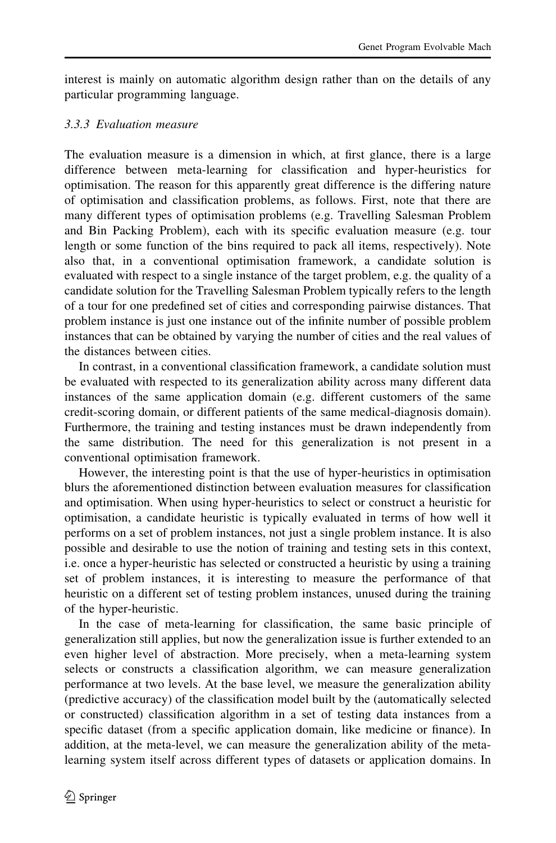interest is mainly on automatic algorithm design rather than on the details of any particular programming language.

# 3.3.3 Evaluation measure

The evaluation measure is a dimension in which, at first glance, there is a large difference between meta-learning for classification and hyper-heuristics for optimisation. The reason for this apparently great difference is the differing nature of optimisation and classification problems, as follows. First, note that there are many different types of optimisation problems (e.g. Travelling Salesman Problem and Bin Packing Problem), each with its specific evaluation measure (e.g. tour length or some function of the bins required to pack all items, respectively). Note also that, in a conventional optimisation framework, a candidate solution is evaluated with respect to a single instance of the target problem, e.g. the quality of a candidate solution for the Travelling Salesman Problem typically refers to the length of a tour for one predefined set of cities and corresponding pairwise distances. That problem instance is just one instance out of the infinite number of possible problem instances that can be obtained by varying the number of cities and the real values of the distances between cities.

In contrast, in a conventional classification framework, a candidate solution must be evaluated with respected to its generalization ability across many different data instances of the same application domain (e.g. different customers of the same credit-scoring domain, or different patients of the same medical-diagnosis domain). Furthermore, the training and testing instances must be drawn independently from the same distribution. The need for this generalization is not present in a conventional optimisation framework.

However, the interesting point is that the use of hyper-heuristics in optimisation blurs the aforementioned distinction between evaluation measures for classification and optimisation. When using hyper-heuristics to select or construct a heuristic for optimisation, a candidate heuristic is typically evaluated in terms of how well it performs on a set of problem instances, not just a single problem instance. It is also possible and desirable to use the notion of training and testing sets in this context, i.e. once a hyper-heuristic has selected or constructed a heuristic by using a training set of problem instances, it is interesting to measure the performance of that heuristic on a different set of testing problem instances, unused during the training of the hyper-heuristic.

In the case of meta-learning for classification, the same basic principle of generalization still applies, but now the generalization issue is further extended to an even higher level of abstraction. More precisely, when a meta-learning system selects or constructs a classification algorithm, we can measure generalization performance at two levels. At the base level, we measure the generalization ability (predictive accuracy) of the classification model built by the (automatically selected or constructed) classification algorithm in a set of testing data instances from a specific dataset (from a specific application domain, like medicine or finance). In addition, at the meta-level, we can measure the generalization ability of the metalearning system itself across different types of datasets or application domains. In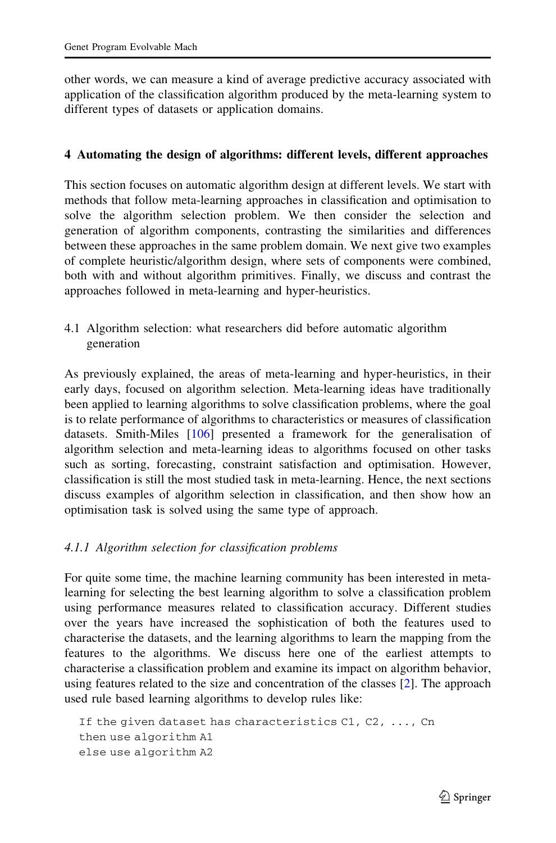<span id="page-14-0"></span>other words, we can measure a kind of average predictive accuracy associated with application of the classification algorithm produced by the meta-learning system to different types of datasets or application domains.

# 4 Automating the design of algorithms: different levels, different approaches

This section focuses on automatic algorithm design at different levels. We start with methods that follow meta-learning approaches in classification and optimisation to solve the algorithm selection problem. We then consider the selection and generation of algorithm components, contrasting the similarities and differences between these approaches in the same problem domain. We next give two examples of complete heuristic/algorithm design, where sets of components were combined, both with and without algorithm primitives. Finally, we discuss and contrast the approaches followed in meta-learning and hyper-heuristics.

4.1 Algorithm selection: what researchers did before automatic algorithm generation

As previously explained, the areas of meta-learning and hyper-heuristics, in their early days, focused on algorithm selection. Meta-learning ideas have traditionally been applied to learning algorithms to solve classification problems, where the goal is to relate performance of algorithms to characteristics or measures of classification datasets. Smith-Miles [\[106](#page-32-0)] presented a framework for the generalisation of algorithm selection and meta-learning ideas to algorithms focused on other tasks such as sorting, forecasting, constraint satisfaction and optimisation. However, classification is still the most studied task in meta-learning. Hence, the next sections discuss examples of algorithm selection in classification, and then show how an optimisation task is solved using the same type of approach.

# 4.1.1 Algorithm selection for classification problems

For quite some time, the machine learning community has been interested in metalearning for selecting the best learning algorithm to solve a classification problem using performance measures related to classification accuracy. Different studies over the years have increased the sophistication of both the features used to characterise the datasets, and the learning algorithms to learn the mapping from the features to the algorithms. We discuss here one of the earliest attempts to characterise a classification problem and examine its impact on algorithm behavior, using features related to the size and concentration of the classes [[2\]](#page-27-0). The approach used rule based learning algorithms to develop rules like:

```
If the given dataset has characteristics C1, C2, ..., Cn
then use algorithm A1
else use algorithm A2
```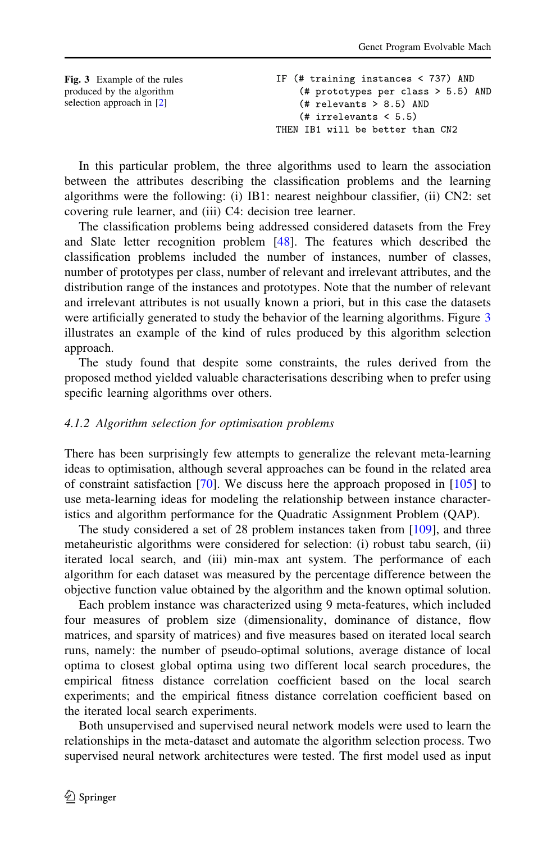Fig. 3 Example of the rules produced by the algorithm selection approach in [\[2](#page-27-0)]

```
IF (H training instances < 737) AND
    (# prototypes per class > 5.5) AND
    (* relevants > 8.5) AND
    (* irrelevants < 5.5)
THEN IB1 will be better than CN2
```
In this particular problem, the three algorithms used to learn the association between the attributes describing the classification problems and the learning algorithms were the following: (i) IB1: nearest neighbour classifier, (ii) CN2: set covering rule learner, and (iii) C4: decision tree learner.

The classification problems being addressed considered datasets from the Frey and Slate letter recognition problem [\[48](#page-29-0)]. The features which described the classification problems included the number of instances, number of classes, number of prototypes per class, number of relevant and irrelevant attributes, and the distribution range of the instances and prototypes. Note that the number of relevant and irrelevant attributes is not usually known a priori, but in this case the datasets were artificially generated to study the behavior of the learning algorithms. Figure 3 illustrates an example of the kind of rules produced by this algorithm selection approach.

The study found that despite some constraints, the rules derived from the proposed method yielded valuable characterisations describing when to prefer using specific learning algorithms over others.

#### 4.1.2 Algorithm selection for optimisation problems

There has been surprisingly few attempts to generalize the relevant meta-learning ideas to optimisation, although several approaches can be found in the related area of constraint satisfaction [\[70](#page-30-0)]. We discuss here the approach proposed in [[105\]](#page-32-0) to use meta-learning ideas for modeling the relationship between instance characteristics and algorithm performance for the Quadratic Assignment Problem (QAP).

The study considered a set of 28 problem instances taken from [[109\]](#page-32-0), and three metaheuristic algorithms were considered for selection: (i) robust tabu search, (ii) iterated local search, and (iii) min-max ant system. The performance of each algorithm for each dataset was measured by the percentage difference between the objective function value obtained by the algorithm and the known optimal solution.

Each problem instance was characterized using 9 meta-features, which included four measures of problem size (dimensionality, dominance of distance, flow matrices, and sparsity of matrices) and five measures based on iterated local search runs, namely: the number of pseudo-optimal solutions, average distance of local optima to closest global optima using two different local search procedures, the empirical fitness distance correlation coefficient based on the local search experiments; and the empirical fitness distance correlation coefficient based on the iterated local search experiments.

Both unsupervised and supervised neural network models were used to learn the relationships in the meta-dataset and automate the algorithm selection process. Two supervised neural network architectures were tested. The first model used as input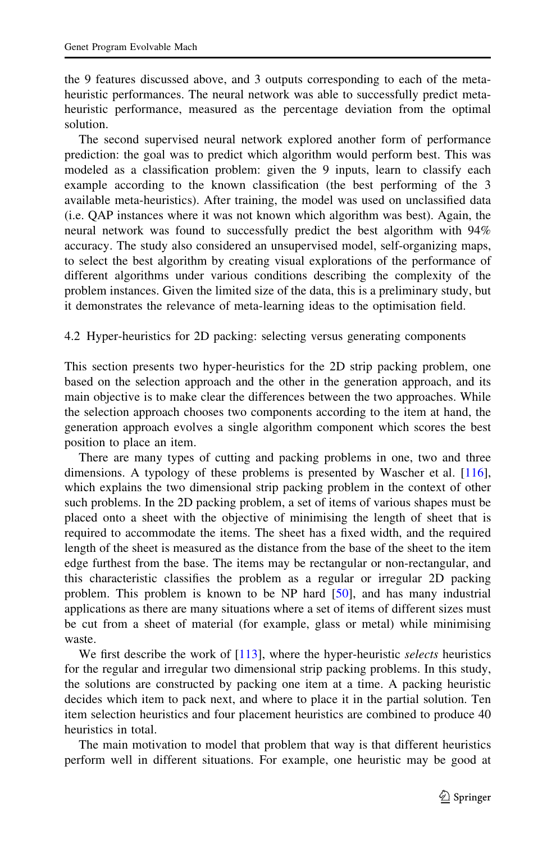the 9 features discussed above, and 3 outputs corresponding to each of the metaheuristic performances. The neural network was able to successfully predict metaheuristic performance, measured as the percentage deviation from the optimal solution.

The second supervised neural network explored another form of performance prediction: the goal was to predict which algorithm would perform best. This was modeled as a classification problem: given the 9 inputs, learn to classify each example according to the known classification (the best performing of the 3 available meta-heuristics). After training, the model was used on unclassified data (i.e. QAP instances where it was not known which algorithm was best). Again, the neural network was found to successfully predict the best algorithm with 94% accuracy. The study also considered an unsupervised model, self-organizing maps, to select the best algorithm by creating visual explorations of the performance of different algorithms under various conditions describing the complexity of the problem instances. Given the limited size of the data, this is a preliminary study, but it demonstrates the relevance of meta-learning ideas to the optimisation field.

#### 4.2 Hyper-heuristics for 2D packing: selecting versus generating components

This section presents two hyper-heuristics for the 2D strip packing problem, one based on the selection approach and the other in the generation approach, and its main objective is to make clear the differences between the two approaches. While the selection approach chooses two components according to the item at hand, the generation approach evolves a single algorithm component which scores the best position to place an item.

There are many types of cutting and packing problems in one, two and three dimensions. A typology of these problems is presented by Wascher et al. [[116\]](#page-32-0), which explains the two dimensional strip packing problem in the context of other such problems. In the 2D packing problem, a set of items of various shapes must be placed onto a sheet with the objective of minimising the length of sheet that is required to accommodate the items. The sheet has a fixed width, and the required length of the sheet is measured as the distance from the base of the sheet to the item edge furthest from the base. The items may be rectangular or non-rectangular, and this characteristic classifies the problem as a regular or irregular 2D packing problem. This problem is known to be NP hard [[50\]](#page-29-0), and has many industrial applications as there are many situations where a set of items of different sizes must be cut from a sheet of material (for example, glass or metal) while minimising waste.

We first describe the work of  $[113]$  $[113]$ , where the hyper-heuristic selects heuristics for the regular and irregular two dimensional strip packing problems. In this study, the solutions are constructed by packing one item at a time. A packing heuristic decides which item to pack next, and where to place it in the partial solution. Ten item selection heuristics and four placement heuristics are combined to produce 40 heuristics in total.

The main motivation to model that problem that way is that different heuristics perform well in different situations. For example, one heuristic may be good at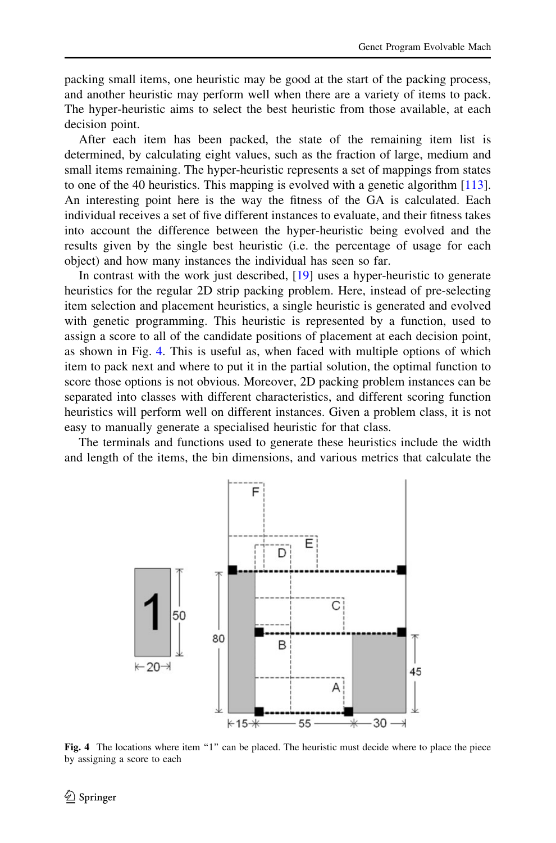packing small items, one heuristic may be good at the start of the packing process, and another heuristic may perform well when there are a variety of items to pack. The hyper-heuristic aims to select the best heuristic from those available, at each decision point.

After each item has been packed, the state of the remaining item list is determined, by calculating eight values, such as the fraction of large, medium and small items remaining. The hyper-heuristic represents a set of mappings from states to one of the 40 heuristics. This mapping is evolved with a genetic algorithm [[113\]](#page-32-0). An interesting point here is the way the fitness of the GA is calculated. Each individual receives a set of five different instances to evaluate, and their fitness takes into account the difference between the hyper-heuristic being evolved and the results given by the single best heuristic (i.e. the percentage of usage for each object) and how many instances the individual has seen so far.

In contrast with the work just described, [[19\]](#page-28-0) uses a hyper-heuristic to generate heuristics for the regular 2D strip packing problem. Here, instead of pre-selecting item selection and placement heuristics, a single heuristic is generated and evolved with genetic programming. This heuristic is represented by a function, used to assign a score to all of the candidate positions of placement at each decision point, as shown in Fig. 4. This is useful as, when faced with multiple options of which item to pack next and where to put it in the partial solution, the optimal function to score those options is not obvious. Moreover, 2D packing problem instances can be separated into classes with different characteristics, and different scoring function heuristics will perform well on different instances. Given a problem class, it is not easy to manually generate a specialised heuristic for that class.

The terminals and functions used to generate these heuristics include the width and length of the items, the bin dimensions, and various metrics that calculate the



Fig. 4 The locations where item "1" can be placed. The heuristic must decide where to place the piece by assigning a score to each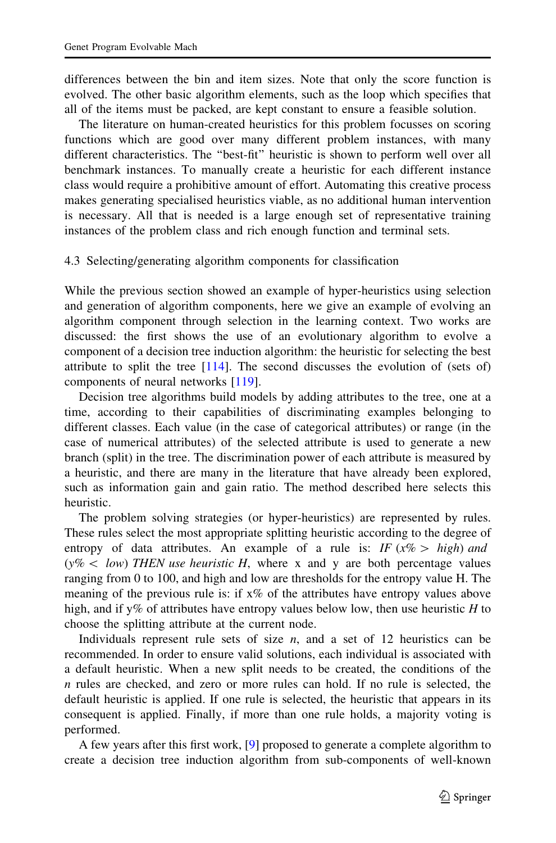<span id="page-18-0"></span>differences between the bin and item sizes. Note that only the score function is evolved. The other basic algorithm elements, such as the loop which specifies that all of the items must be packed, are kept constant to ensure a feasible solution.

The literature on human-created heuristics for this problem focusses on scoring functions which are good over many different problem instances, with many different characteristics. The ''best-fit'' heuristic is shown to perform well over all benchmark instances. To manually create a heuristic for each different instance class would require a prohibitive amount of effort. Automating this creative process makes generating specialised heuristics viable, as no additional human intervention is necessary. All that is needed is a large enough set of representative training instances of the problem class and rich enough function and terminal sets.

#### 4.3 Selecting/generating algorithm components for classification

While the previous section showed an example of hyper-heuristics using selection and generation of algorithm components, here we give an example of evolving an algorithm component through selection in the learning context. Two works are discussed: the first shows the use of an evolutionary algorithm to evolve a component of a decision tree induction algorithm: the heuristic for selecting the best attribute to split the tree  $[114]$  $[114]$ . The second discusses the evolution of (sets of) components of neural networks [[119\]](#page-32-0).

Decision tree algorithms build models by adding attributes to the tree, one at a time, according to their capabilities of discriminating examples belonging to different classes. Each value (in the case of categorical attributes) or range (in the case of numerical attributes) of the selected attribute is used to generate a new branch (split) in the tree. The discrimination power of each attribute is measured by a heuristic, and there are many in the literature that have already been explored, such as information gain and gain ratio. The method described here selects this heuristic.

The problem solving strategies (or hyper-heuristics) are represented by rules. These rules select the most appropriate splitting heuristic according to the degree of entropy of data attributes. An example of a rule is: IF  $(x\% > high)$  and  $(y\%$  < low) THEN use heuristic H, where x and y are both percentage values ranging from 0 to 100, and high and low are thresholds for the entropy value H. The meaning of the previous rule is: if  $x\%$  of the attributes have entropy values above high, and if  $y\%$  of attributes have entropy values below low, then use heuristic H to choose the splitting attribute at the current node.

Individuals represent rule sets of size  $n$ , and a set of 12 heuristics can be recommended. In order to ensure valid solutions, each individual is associated with a default heuristic. When a new split needs to be created, the conditions of the n rules are checked, and zero or more rules can hold. If no rule is selected, the default heuristic is applied. If one rule is selected, the heuristic that appears in its consequent is applied. Finally, if more than one rule holds, a majority voting is performed.

A few years after this first work, [[9\]](#page-28-0) proposed to generate a complete algorithm to create a decision tree induction algorithm from sub-components of well-known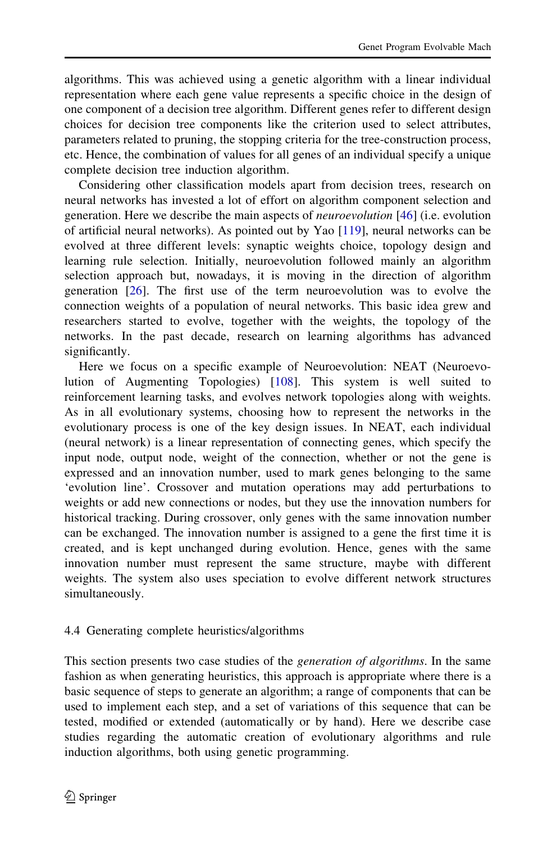<span id="page-19-0"></span>algorithms. This was achieved using a genetic algorithm with a linear individual representation where each gene value represents a specific choice in the design of one component of a decision tree algorithm. Different genes refer to different design choices for decision tree components like the criterion used to select attributes, parameters related to pruning, the stopping criteria for the tree-construction process, etc. Hence, the combination of values for all genes of an individual specify a unique complete decision tree induction algorithm.

Considering other classification models apart from decision trees, research on neural networks has invested a lot of effort on algorithm component selection and generation. Here we describe the main aspects of neuroevolution [[46\]](#page-29-0) (i.e. evolution of artificial neural networks). As pointed out by Yao [[119\]](#page-32-0), neural networks can be evolved at three different levels: synaptic weights choice, topology design and learning rule selection. Initially, neuroevolution followed mainly an algorithm selection approach but, nowadays, it is moving in the direction of algorithm generation [\[26](#page-28-0)]. The first use of the term neuroevolution was to evolve the connection weights of a population of neural networks. This basic idea grew and researchers started to evolve, together with the weights, the topology of the networks. In the past decade, research on learning algorithms has advanced significantly.

Here we focus on a specific example of Neuroevolution: NEAT (Neuroevolution of Augmenting Topologies) [\[108](#page-32-0)]. This system is well suited to reinforcement learning tasks, and evolves network topologies along with weights. As in all evolutionary systems, choosing how to represent the networks in the evolutionary process is one of the key design issues. In NEAT, each individual (neural network) is a linear representation of connecting genes, which specify the input node, output node, weight of the connection, whether or not the gene is expressed and an innovation number, used to mark genes belonging to the same 'evolution line'. Crossover and mutation operations may add perturbations to weights or add new connections or nodes, but they use the innovation numbers for historical tracking. During crossover, only genes with the same innovation number can be exchanged. The innovation number is assigned to a gene the first time it is created, and is kept unchanged during evolution. Hence, genes with the same innovation number must represent the same structure, maybe with different weights. The system also uses speciation to evolve different network structures simultaneously.

# 4.4 Generating complete heuristics/algorithms

This section presents two case studies of the *generation of algorithms*. In the same fashion as when generating heuristics, this approach is appropriate where there is a basic sequence of steps to generate an algorithm; a range of components that can be used to implement each step, and a set of variations of this sequence that can be tested, modified or extended (automatically or by hand). Here we describe case studies regarding the automatic creation of evolutionary algorithms and rule induction algorithms, both using genetic programming.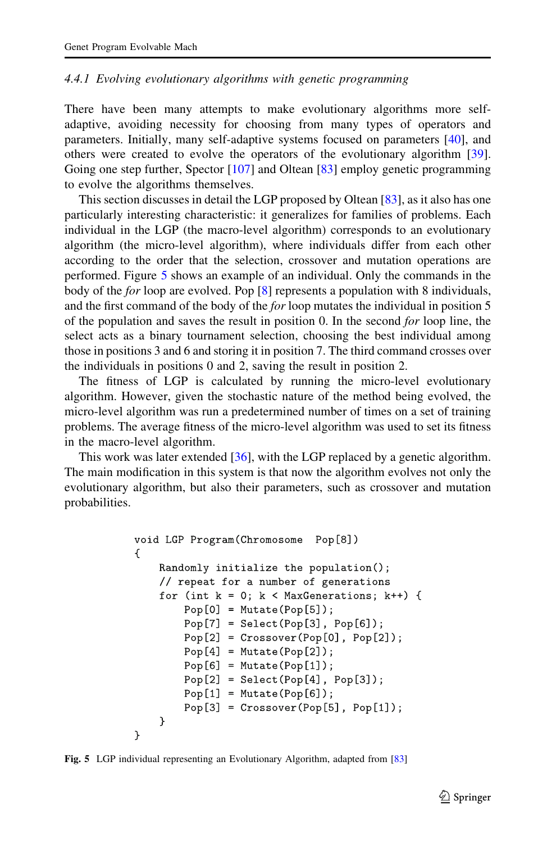#### <span id="page-20-0"></span>4.4.1 Evolving evolutionary algorithms with genetic programming

There have been many attempts to make evolutionary algorithms more selfadaptive, avoiding necessity for choosing from many types of operators and parameters. Initially, many self-adaptive systems focused on parameters [[40](#page-29-0)], and others were created to evolve the operators of the evolutionary algorithm [[39\]](#page-29-0). Going one step further, Spector [\[107](#page-32-0)] and Oltean [[83\]](#page-31-0) employ genetic programming to evolve the algorithms themselves.

This section discusses in detail the LGP proposed by Oltean [\[83](#page-31-0)], as it also has one particularly interesting characteristic: it generalizes for families of problems. Each individual in the LGP (the macro-level algorithm) corresponds to an evolutionary algorithm (the micro-level algorithm), where individuals differ from each other according to the order that the selection, crossover and mutation operations are performed. Figure 5 shows an example of an individual. Only the commands in the body of the *for* loop are evolved. Pop [[8\]](#page-28-0) represents a population with 8 individuals, and the first command of the body of the for loop mutates the individual in position 5 of the population and saves the result in position 0. In the second for loop line, the select acts as a binary tournament selection, choosing the best individual among those in positions 3 and 6 and storing it in position 7. The third command crosses over the individuals in positions 0 and 2, saving the result in position 2.

The fitness of LGP is calculated by running the micro-level evolutionary algorithm. However, given the stochastic nature of the method being evolved, the micro-level algorithm was run a predetermined number of times on a set of training problems. The average fitness of the micro-level algorithm was used to set its fitness in the macro-level algorithm.

This work was later extended [\[36](#page-29-0)], with the LGP replaced by a genetic algorithm. The main modification in this system is that now the algorithm evolves not only the evolutionary algorithm, but also their parameters, such as crossover and mutation probabilities.

```
void LGP Program (Chromosome
                             Pop[8])
€
    Randomly initialize the population();
    // repeat for a number of generations
    for (int k = 0; k < MaxGenerations; k++) {
        Pop[0] = Mutate(Pop[5]);
        Pop[7] = Select(Pop[3], Pop[6]);Pop[2] = Crossover(Pop[0], Pop[2]);Pop[4] = Mutate(Pop[2]);
        Pop[6] = Mutate(Pop[1]);Pop[2] = Select(Pop[4], Pop[3]);Pop[1] = Mutate(Pop[6]),Pop[3] = Crossover(Pop[5], Pop[1]);}
\mathcal{F}
```
Fig. 5 LGP individual representing an Evolutionary Algorithm, adapted from [[83\]](#page-31-0)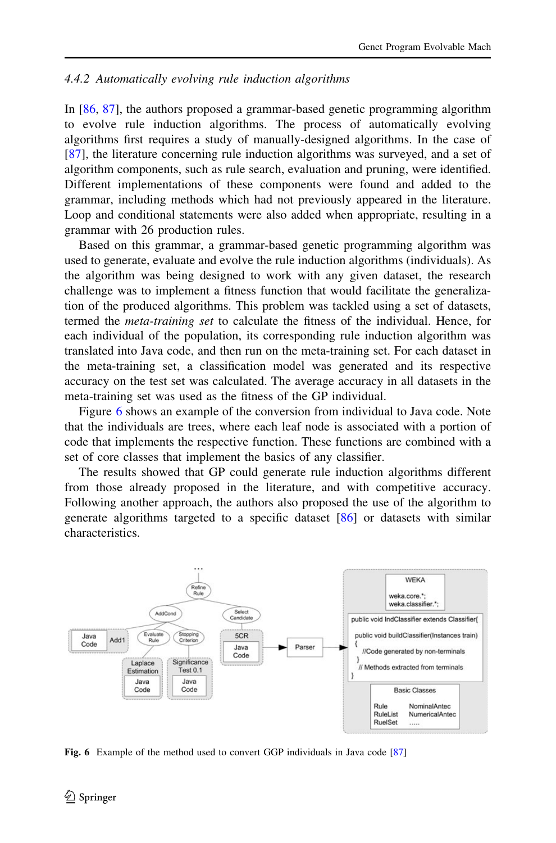## 4.4.2 Automatically evolving rule induction algorithms

In [[86,](#page-31-0) [87](#page-31-0)], the authors proposed a grammar-based genetic programming algorithm to evolve rule induction algorithms. The process of automatically evolving algorithms first requires a study of manually-designed algorithms. In the case of [\[87](#page-31-0)], the literature concerning rule induction algorithms was surveyed, and a set of algorithm components, such as rule search, evaluation and pruning, were identified. Different implementations of these components were found and added to the grammar, including methods which had not previously appeared in the literature. Loop and conditional statements were also added when appropriate, resulting in a grammar with 26 production rules.

Based on this grammar, a grammar-based genetic programming algorithm was used to generate, evaluate and evolve the rule induction algorithms (individuals). As the algorithm was being designed to work with any given dataset, the research challenge was to implement a fitness function that would facilitate the generalization of the produced algorithms. This problem was tackled using a set of datasets, termed the meta-training set to calculate the fitness of the individual. Hence, for each individual of the population, its corresponding rule induction algorithm was translated into Java code, and then run on the meta-training set. For each dataset in the meta-training set, a classification model was generated and its respective accuracy on the test set was calculated. The average accuracy in all datasets in the meta-training set was used as the fitness of the GP individual.

Figure 6 shows an example of the conversion from individual to Java code. Note that the individuals are trees, where each leaf node is associated with a portion of code that implements the respective function. These functions are combined with a set of core classes that implement the basics of any classifier.

The results showed that GP could generate rule induction algorithms different from those already proposed in the literature, and with competitive accuracy. Following another approach, the authors also proposed the use of the algorithm to generate algorithms targeted to a specific dataset [\[86](#page-31-0)] or datasets with similar characteristics.



Fig. 6 Example of the method used to convert GGP individuals in Java code [\[87\]](#page-31-0)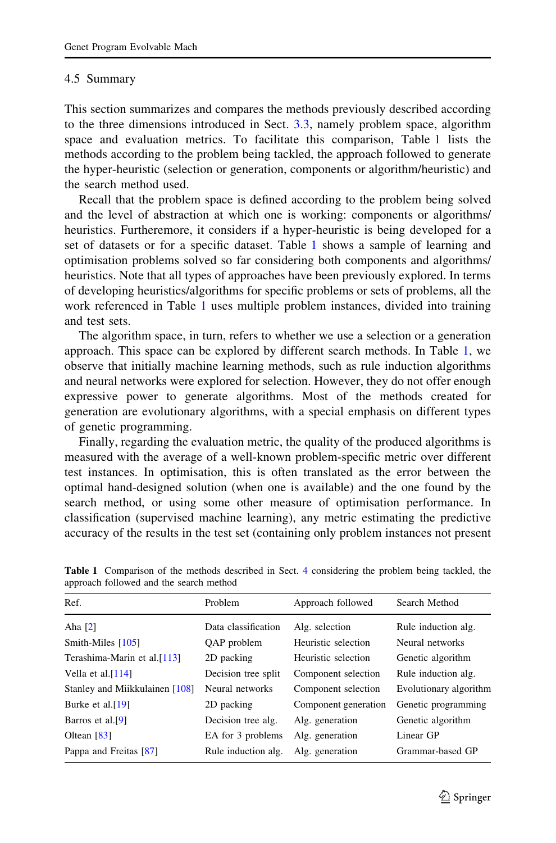#### 4.5 Summary

This section summarizes and compares the methods previously described according to the three dimensions introduced in Sect. [3.3,](#page-9-0) namely problem space, algorithm space and evaluation metrics. To facilitate this comparison, Table 1 lists the methods according to the problem being tackled, the approach followed to generate the hyper-heuristic (selection or generation, components or algorithm/heuristic) and the search method used.

Recall that the problem space is defined according to the problem being solved and the level of abstraction at which one is working: components or algorithms/ heuristics. Furtheremore, it considers if a hyper-heuristic is being developed for a set of datasets or for a specific dataset. Table 1 shows a sample of learning and optimisation problems solved so far considering both components and algorithms/ heuristics. Note that all types of approaches have been previously explored. In terms of developing heuristics/algorithms for specific problems or sets of problems, all the work referenced in Table 1 uses multiple problem instances, divided into training and test sets.

The algorithm space, in turn, refers to whether we use a selection or a generation approach. This space can be explored by different search methods. In Table 1, we observe that initially machine learning methods, such as rule induction algorithms and neural networks were explored for selection. However, they do not offer enough expressive power to generate algorithms. Most of the methods created for generation are evolutionary algorithms, with a special emphasis on different types of genetic programming.

Finally, regarding the evaluation metric, the quality of the produced algorithms is measured with the average of a well-known problem-specific metric over different test instances. In optimisation, this is often translated as the error between the optimal hand-designed solution (when one is available) and the one found by the search method, or using some other measure of optimisation performance. In classification (supervised machine learning), any metric estimating the predictive accuracy of the results in the test set (containing only problem instances not present

| Ref.                           | Problem             | Approach followed    | Search Method          |
|--------------------------------|---------------------|----------------------|------------------------|
| Aha $[2]$                      | Data classification | Alg. selection       | Rule induction alg.    |
| Smith-Miles [105]              | OAP problem         | Heuristic selection  | Neural networks        |
| Terashima-Marin et al.[113]    | 2D packing          | Heuristic selection  | Genetic algorithm      |
| Vella et al. $[114]$           | Decision tree split | Component selection  | Rule induction alg.    |
| Stanley and Miikkulainen [108] | Neural networks     | Component selection  | Evolutionary algorithm |
| Burke et al. $[19]$            | 2D packing          | Component generation | Genetic programming    |
| Barros et al. <sup>[9]</sup>   | Decision tree alg.  | Alg. generation      | Genetic algorithm      |
| Oltean $[83]$                  | EA for 3 problems   | Alg. generation      | Linear GP              |
| Pappa and Freitas [87]         | Rule induction alg. | Alg. generation      | Grammar-based GP       |

Table 1 Comparison of the methods described in Sect. [4](#page-14-0) considering the problem being tackled, the approach followed and the search method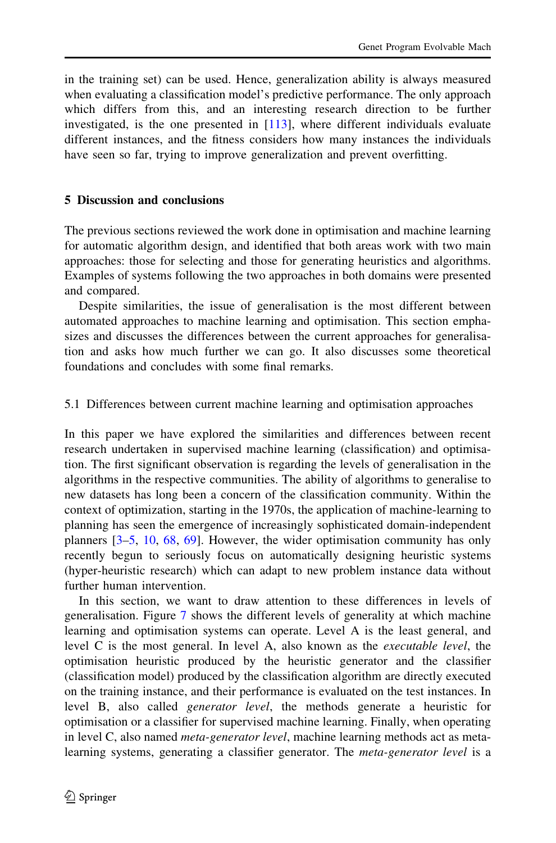<span id="page-23-0"></span>in the training set) can be used. Hence, generalization ability is always measured when evaluating a classification model's predictive performance. The only approach which differs from this, and an interesting research direction to be further investigated, is the one presented in [\[113](#page-32-0)], where different individuals evaluate different instances, and the fitness considers how many instances the individuals have seen so far, trying to improve generalization and prevent overfitting.

## 5 Discussion and conclusions

The previous sections reviewed the work done in optimisation and machine learning for automatic algorithm design, and identified that both areas work with two main approaches: those for selecting and those for generating heuristics and algorithms. Examples of systems following the two approaches in both domains were presented and compared.

Despite similarities, the issue of generalisation is the most different between automated approaches to machine learning and optimisation. This section emphasizes and discusses the differences between the current approaches for generalisation and asks how much further we can go. It also discusses some theoretical foundations and concludes with some final remarks.

## 5.1 Differences between current machine learning and optimisation approaches

In this paper we have explored the similarities and differences between recent research undertaken in supervised machine learning (classification) and optimisation. The first significant observation is regarding the levels of generalisation in the algorithms in the respective communities. The ability of algorithms to generalise to new datasets has long been a concern of the classification community. Within the context of optimization, starting in the 1970s, the application of machine-learning to planning has seen the emergence of increasingly sophisticated domain-independent planners [[3–5,](#page-27-0) [10](#page-28-0), [68](#page-30-0), [69\]](#page-30-0). However, the wider optimisation community has only recently begun to seriously focus on automatically designing heuristic systems (hyper-heuristic research) which can adapt to new problem instance data without further human intervention.

In this section, we want to draw attention to these differences in levels of generalisation. Figure [7](#page-24-0) shows the different levels of generality at which machine learning and optimisation systems can operate. Level A is the least general, and level C is the most general. In level A, also known as the *executable level*, the optimisation heuristic produced by the heuristic generator and the classifier (classification model) produced by the classification algorithm are directly executed on the training instance, and their performance is evaluated on the test instances. In level B, also called generator level, the methods generate a heuristic for optimisation or a classifier for supervised machine learning. Finally, when operating in level C, also named *meta-generator level*, machine learning methods act as metalearning systems, generating a classifier generator. The *meta-generator level* is a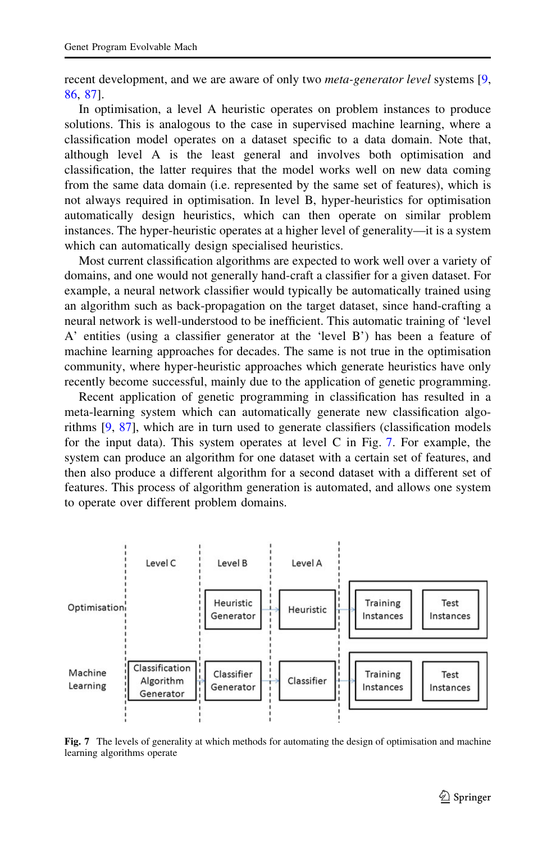<span id="page-24-0"></span>recent development, and we are aware of only two *meta-generator level* systems [[9,](#page-28-0) [86](#page-31-0), [87\]](#page-31-0).

In optimisation, a level A heuristic operates on problem instances to produce solutions. This is analogous to the case in supervised machine learning, where a classification model operates on a dataset specific to a data domain. Note that, although level A is the least general and involves both optimisation and classification, the latter requires that the model works well on new data coming from the same data domain (i.e. represented by the same set of features), which is not always required in optimisation. In level B, hyper-heuristics for optimisation automatically design heuristics, which can then operate on similar problem instances. The hyper-heuristic operates at a higher level of generality—it is a system which can automatically design specialised heuristics.

Most current classification algorithms are expected to work well over a variety of domains, and one would not generally hand-craft a classifier for a given dataset. For example, a neural network classifier would typically be automatically trained using an algorithm such as back-propagation on the target dataset, since hand-crafting a neural network is well-understood to be inefficient. This automatic training of 'level A' entities (using a classifier generator at the 'level B') has been a feature of machine learning approaches for decades. The same is not true in the optimisation community, where hyper-heuristic approaches which generate heuristics have only recently become successful, mainly due to the application of genetic programming.

Recent application of genetic programming in classification has resulted in a meta-learning system which can automatically generate new classification algorithms [\[9](#page-28-0), [87](#page-31-0)], which are in turn used to generate classifiers (classification models for the input data). This system operates at level C in Fig. 7. For example, the system can produce an algorithm for one dataset with a certain set of features, and then also produce a different algorithm for a second dataset with a different set of features. This process of algorithm generation is automated, and allows one system to operate over different problem domains.



Fig. 7 The levels of generality at which methods for automating the design of optimisation and machine learning algorithms operate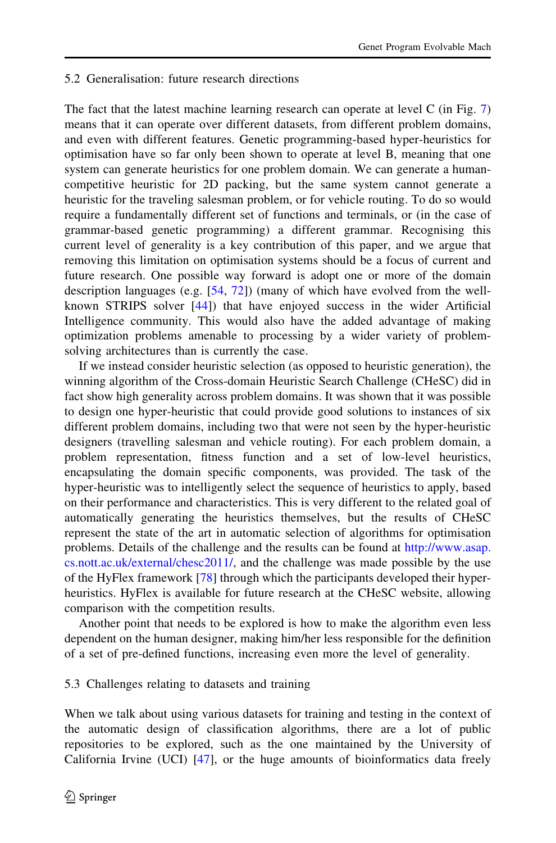## 5.2 Generalisation: future research directions

The fact that the latest machine learning research can operate at level C (in Fig. [7](#page-24-0)) means that it can operate over different datasets, from different problem domains, and even with different features. Genetic programming-based hyper-heuristics for optimisation have so far only been shown to operate at level B, meaning that one system can generate heuristics for one problem domain. We can generate a humancompetitive heuristic for 2D packing, but the same system cannot generate a heuristic for the traveling salesman problem, or for vehicle routing. To do so would require a fundamentally different set of functions and terminals, or (in the case of grammar-based genetic programming) a different grammar. Recognising this current level of generality is a key contribution of this paper, and we argue that removing this limitation on optimisation systems should be a focus of current and future research. One possible way forward is adopt one or more of the domain description languages (e.g. [[54,](#page-30-0) [72\]](#page-30-0)) (many of which have evolved from the wellknown STRIPS solver [\[44\]](#page-29-0)) that have enjoyed success in the wider Artificial Intelligence community. This would also have the added advantage of making optimization problems amenable to processing by a wider variety of problemsolving architectures than is currently the case.

If we instead consider heuristic selection (as opposed to heuristic generation), the winning algorithm of the Cross-domain Heuristic Search Challenge (CHeSC) did in fact show high generality across problem domains. It was shown that it was possible to design one hyper-heuristic that could provide good solutions to instances of six different problem domains, including two that were not seen by the hyper-heuristic designers (travelling salesman and vehicle routing). For each problem domain, a problem representation, fitness function and a set of low-level heuristics, encapsulating the domain specific components, was provided. The task of the hyper-heuristic was to intelligently select the sequence of heuristics to apply, based on their performance and characteristics. This is very different to the related goal of automatically generating the heuristics themselves, but the results of CHeSC represent the state of the art in automatic selection of algorithms for optimisation problems. Details of the challenge and the results can be found at [http://www.asap.](http://www.asap.cs.nott.ac.uk/external/chesc2011/) [cs.nott.ac.uk/external/chesc2011/](http://www.asap.cs.nott.ac.uk/external/chesc2011/), and the challenge was made possible by the use of the HyFlex framework [\[78](#page-31-0)] through which the participants developed their hyperheuristics. HyFlex is available for future research at the CHeSC website, allowing comparison with the competition results.

Another point that needs to be explored is how to make the algorithm even less dependent on the human designer, making him/her less responsible for the definition of a set of pre-defined functions, increasing even more the level of generality.

## 5.3 Challenges relating to datasets and training

When we talk about using various datasets for training and testing in the context of the automatic design of classification algorithms, there are a lot of public repositories to be explored, such as the one maintained by the University of California Irvine (UCI) [\[47](#page-29-0)], or the huge amounts of bioinformatics data freely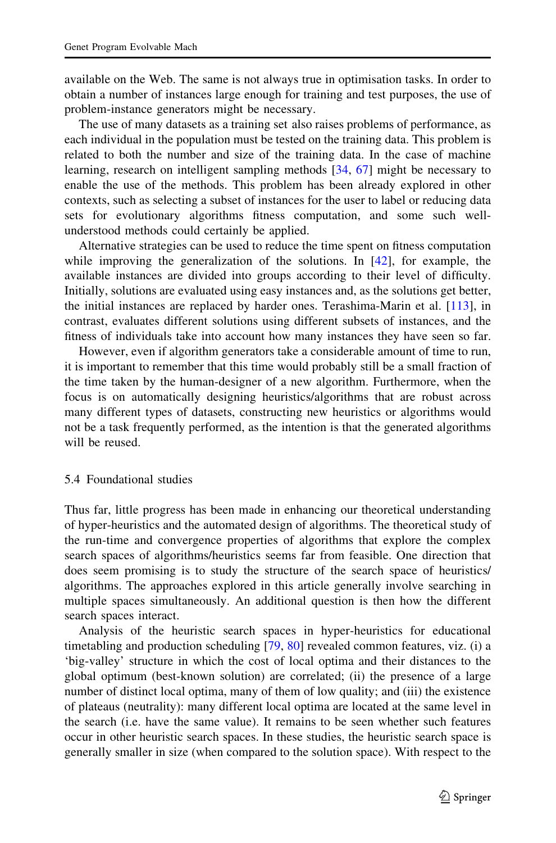available on the Web. The same is not always true in optimisation tasks. In order to obtain a number of instances large enough for training and test purposes, the use of problem-instance generators might be necessary.

The use of many datasets as a training set also raises problems of performance, as each individual in the population must be tested on the training data. This problem is related to both the number and size of the training data. In the case of machine learning, research on intelligent sampling methods [\[34](#page-29-0), [67](#page-30-0)] might be necessary to enable the use of the methods. This problem has been already explored in other contexts, such as selecting a subset of instances for the user to label or reducing data sets for evolutionary algorithms fitness computation, and some such wellunderstood methods could certainly be applied.

Alternative strategies can be used to reduce the time spent on fitness computation while improving the generalization of the solutions. In  $[42]$  $[42]$  $[42]$ , for example, the available instances are divided into groups according to their level of difficulty. Initially, solutions are evaluated using easy instances and, as the solutions get better, the initial instances are replaced by harder ones. Terashima-Marin et al. [\[113](#page-32-0)], in contrast, evaluates different solutions using different subsets of instances, and the fitness of individuals take into account how many instances they have seen so far.

However, even if algorithm generators take a considerable amount of time to run, it is important to remember that this time would probably still be a small fraction of the time taken by the human-designer of a new algorithm. Furthermore, when the focus is on automatically designing heuristics/algorithms that are robust across many different types of datasets, constructing new heuristics or algorithms would not be a task frequently performed, as the intention is that the generated algorithms will be reused.

#### 5.4 Foundational studies

Thus far, little progress has been made in enhancing our theoretical understanding of hyper-heuristics and the automated design of algorithms. The theoretical study of the run-time and convergence properties of algorithms that explore the complex search spaces of algorithms/heuristics seems far from feasible. One direction that does seem promising is to study the structure of the search space of heuristics/ algorithms. The approaches explored in this article generally involve searching in multiple spaces simultaneously. An additional question is then how the different search spaces interact.

Analysis of the heuristic search spaces in hyper-heuristics for educational timetabling and production scheduling [[79,](#page-31-0) [80](#page-31-0)] revealed common features, viz. (i) a 'big-valley' structure in which the cost of local optima and their distances to the global optimum (best-known solution) are correlated; (ii) the presence of a large number of distinct local optima, many of them of low quality; and (iii) the existence of plateaus (neutrality): many different local optima are located at the same level in the search (i.e. have the same value). It remains to be seen whether such features occur in other heuristic search spaces. In these studies, the heuristic search space is generally smaller in size (when compared to the solution space). With respect to the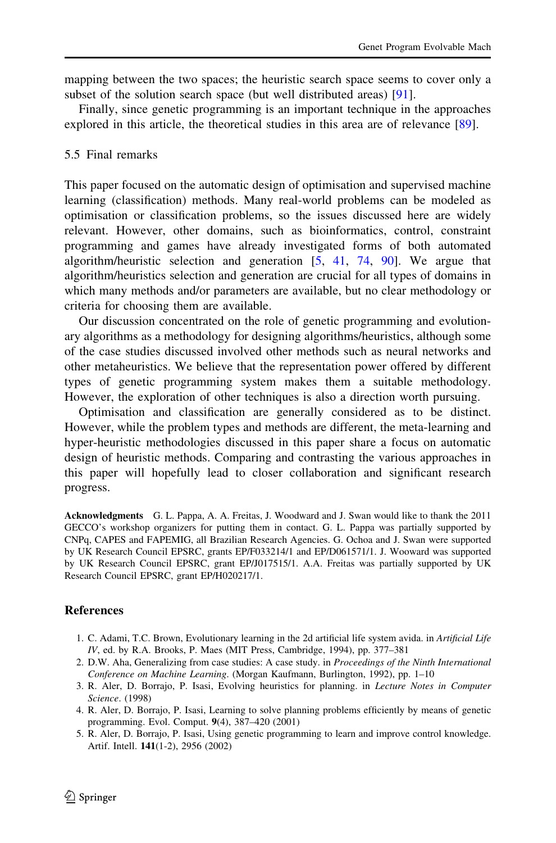<span id="page-27-0"></span>mapping between the two spaces; the heuristic search space seems to cover only a subset of the solution search space (but well distributed areas) [\[91](#page-31-0)].

Finally, since genetic programming is an important technique in the approaches explored in this article, the theoretical studies in this area are of relevance [[89\]](#page-31-0).

#### 5.5 Final remarks

This paper focused on the automatic design of optimisation and supervised machine learning (classification) methods. Many real-world problems can be modeled as optimisation or classification problems, so the issues discussed here are widely relevant. However, other domains, such as bioinformatics, control, constraint programming and games have already investigated forms of both automated algorithm/heuristic selection and generation [5, [41](#page-29-0), [74](#page-30-0), [90\]](#page-31-0). We argue that algorithm/heuristics selection and generation are crucial for all types of domains in which many methods and/or parameters are available, but no clear methodology or criteria for choosing them are available.

Our discussion concentrated on the role of genetic programming and evolutionary algorithms as a methodology for designing algorithms/heuristics, although some of the case studies discussed involved other methods such as neural networks and other metaheuristics. We believe that the representation power offered by different types of genetic programming system makes them a suitable methodology. However, the exploration of other techniques is also a direction worth pursuing.

Optimisation and classification are generally considered as to be distinct. However, while the problem types and methods are different, the meta-learning and hyper-heuristic methodologies discussed in this paper share a focus on automatic design of heuristic methods. Comparing and contrasting the various approaches in this paper will hopefully lead to closer collaboration and significant research progress.

Acknowledgments G. L. Pappa, A. A. Freitas, J. Woodward and J. Swan would like to thank the 2011 GECCO's workshop organizers for putting them in contact. G. L. Pappa was partially supported by CNPq, CAPES and FAPEMIG, all Brazilian Research Agencies. G. Ochoa and J. Swan were supported by UK Research Council EPSRC, grants EP/F033214/1 and EP/D061571/1. J. Wooward was supported by UK Research Council EPSRC, grant EP/J017515/1. A.A. Freitas was partially supported by UK Research Council EPSRC, grant EP/H020217/1.

#### References

- 1. C. Adami, T.C. Brown, Evolutionary learning in the 2d artificial life system avida. in Artificial Life IV, ed. by R.A. Brooks, P. Maes (MIT Press, Cambridge, 1994), pp. 377–381
- 2. D.W. Aha, Generalizing from case studies: A case study. in Proceedings of the Ninth International Conference on Machine Learning. (Morgan Kaufmann, Burlington, 1992), pp. 1–10
- 3. R. Aler, D. Borrajo, P. Isasi, Evolving heuristics for planning. in Lecture Notes in Computer Science. (1998)
- 4. R. Aler, D. Borrajo, P. Isasi, Learning to solve planning problems efficiently by means of genetic programming. Evol. Comput. 9(4), 387–420 (2001)
- 5. R. Aler, D. Borrajo, P. Isasi, Using genetic programming to learn and improve control knowledge. Artif. Intell. 141(1-2), 2956 (2002)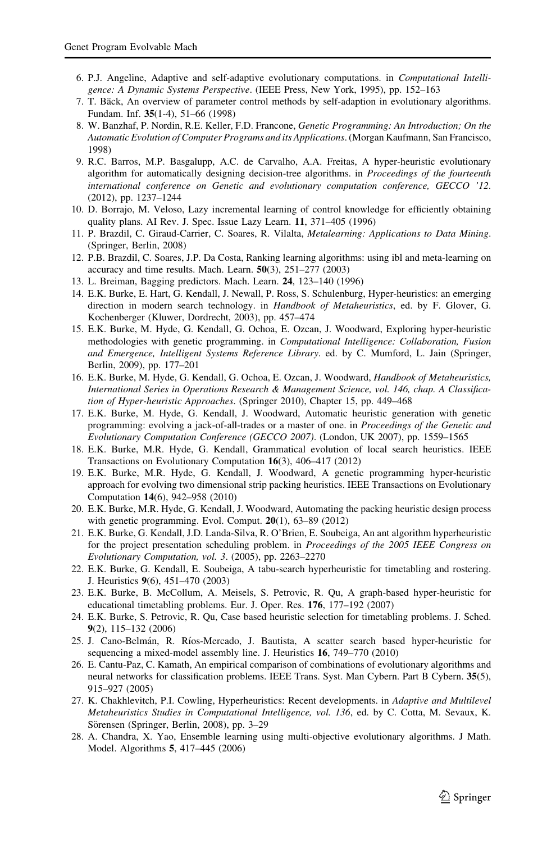- <span id="page-28-0"></span>6. P.J. Angeline, Adaptive and self-adaptive evolutionary computations. in Computational Intelligence: A Dynamic Systems Perspective. (IEEE Press, New York, 1995), pp. 152–163
- 7. T. Bäck, An overview of parameter control methods by self-adaption in evolutionary algorithms. Fundam. Inf. 35(1-4), 51–66 (1998)
- 8. W. Banzhaf, P. Nordin, R.E. Keller, F.D. Francone, Genetic Programming: An Introduction; On the Automatic Evolution of Computer Programs and its Applications. (Morgan Kaufmann, San Francisco, 1998)
- 9. R.C. Barros, M.P. Basgalupp, A.C. de Carvalho, A.A. Freitas, A hyper-heuristic evolutionary algorithm for automatically designing decision-tree algorithms. in *Proceedings of the fourteenth* international conference on Genetic and evolutionary computation conference, GECCO '12. (2012), pp. 1237–1244
- 10. D. Borrajo, M. Veloso, Lazy incremental learning of control knowledge for efficiently obtaining quality plans. AI Rev. J. Spec. Issue Lazy Learn. 11, 371–405 (1996)
- 11. P. Brazdil, C. Giraud-Carrier, C. Soares, R. Vilalta, Metalearning: Applications to Data Mining. (Springer, Berlin, 2008)
- 12. P.B. Brazdil, C. Soares, J.P. Da Costa, Ranking learning algorithms: using ibl and meta-learning on accuracy and time results. Mach. Learn. 50(3), 251–277 (2003)
- 13. L. Breiman, Bagging predictors. Mach. Learn. 24, 123–140 (1996)
- 14. E.K. Burke, E. Hart, G. Kendall, J. Newall, P. Ross, S. Schulenburg, Hyper-heuristics: an emerging direction in modern search technology. in Handbook of Metaheuristics, ed. by F. Glover, G. Kochenberger (Kluwer, Dordrecht, 2003), pp. 457–474
- 15. E.K. Burke, M. Hyde, G. Kendall, G. Ochoa, E. Ozcan, J. Woodward, Exploring hyper-heuristic methodologies with genetic programming. in Computational Intelligence: Collaboration, Fusion and Emergence, Intelligent Systems Reference Library. ed. by C. Mumford, L. Jain (Springer, Berlin, 2009), pp. 177–201
- 16. E.K. Burke, M. Hyde, G. Kendall, G. Ochoa, E. Ozcan, J. Woodward, Handbook of Metaheuristics, International Series in Operations Research & Management Science, vol. 146, chap. A Classification of Hyper-heuristic Approaches. (Springer 2010), Chapter 15, pp. 449–468
- 17. E.K. Burke, M. Hyde, G. Kendall, J. Woodward, Automatic heuristic generation with genetic programming: evolving a jack-of-all-trades or a master of one. in Proceedings of the Genetic and Evolutionary Computation Conference (GECCO 2007). (London, UK 2007), pp. 1559–1565
- 18. E.K. Burke, M.R. Hyde, G. Kendall, Grammatical evolution of local search heuristics. IEEE Transactions on Evolutionary Computation 16(3), 406–417 (2012)
- 19. E.K. Burke, M.R. Hyde, G. Kendall, J. Woodward, A genetic programming hyper-heuristic approach for evolving two dimensional strip packing heuristics. IEEE Transactions on Evolutionary Computation 14(6), 942–958 (2010)
- 20. E.K. Burke, M.R. Hyde, G. Kendall, J. Woodward, Automating the packing heuristic design process with genetic programming. Evol. Comput. 20(1), 63–89 (2012)
- 21. E.K. Burke, G. Kendall, J.D. Landa-Silva, R. O'Brien, E. Soubeiga, An ant algorithm hyperheuristic for the project presentation scheduling problem. in Proceedings of the 2005 IEEE Congress on Evolutionary Computation, vol. 3. (2005), pp. 2263–2270
- 22. E.K. Burke, G. Kendall, E. Soubeiga, A tabu-search hyperheuristic for timetabling and rostering. J. Heuristics 9(6), 451–470 (2003)
- 23. E.K. Burke, B. McCollum, A. Meisels, S. Petrovic, R. Qu, A graph-based hyper-heuristic for educational timetabling problems. Eur. J. Oper. Res. 176, 177–192 (2007)
- 24. E.K. Burke, S. Petrovic, R. Qu, Case based heuristic selection for timetabling problems. J. Sched. 9(2), 115–132 (2006)
- 25. J. Cano-Belmán, R. Ríos-Mercado, J. Bautista, A scatter search based hyper-heuristic for sequencing a mixed-model assembly line. J. Heuristics 16, 749–770 (2010)
- 26. E. Cantu-Paz, C. Kamath, An empirical comparison of combinations of evolutionary algorithms and neural networks for classification problems. IEEE Trans. Syst. Man Cybern. Part B Cybern. 35(5), 915–927 (2005)
- 27. K. Chakhlevitch, P.I. Cowling, Hyperheuristics: Recent developments. in Adaptive and Multilevel Metaheuristics Studies in Computational Intelligence, vol. 136, ed. by C. Cotta, M. Sevaux, K. Sörensen (Springer, Berlin, 2008), pp. 3–29
- 28. A. Chandra, X. Yao, Ensemble learning using multi-objective evolutionary algorithms. J Math. Model. Algorithms 5, 417–445 (2006)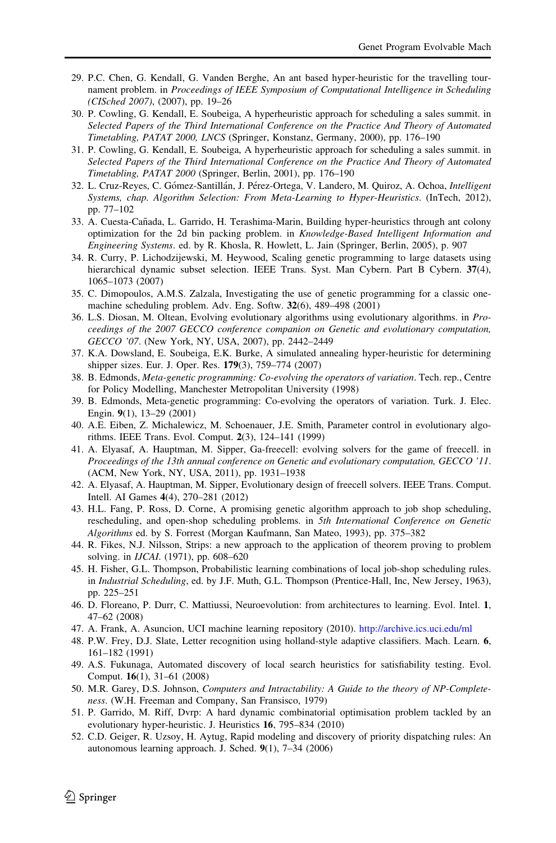- <span id="page-29-0"></span>29. P.C. Chen, G. Kendall, G. Vanden Berghe, An ant based hyper-heuristic for the travelling tournament problem. in Proceedings of IEEE Symposium of Computational Intelligence in Scheduling (CISched 2007), (2007), pp. 19–26
- 30. P. Cowling, G. Kendall, E. Soubeiga, A hyperheuristic approach for scheduling a sales summit. in Selected Papers of the Third International Conference on the Practice And Theory of Automated Timetabling, PATAT 2000, LNCS (Springer, Konstanz, Germany, 2000), pp. 176–190
- 31. P. Cowling, G. Kendall, E. Soubeiga, A hyperheuristic approach for scheduling a sales summit. in Selected Papers of the Third International Conference on the Practice And Theory of Automated Timetabling, PATAT 2000 (Springer, Berlin, 2001), pp. 176–190
- 32. L. Cruz-Reyes, C. Gómez-Santillán, J. Pérez-Ortega, V. Landero, M. Quiroz, A. Ochoa, Intelligent Systems, chap. Algorithm Selection: From Meta-Learning to Hyper-Heuristics. (InTech, 2012), pp. 77–102
- 33. A. Cuesta-Cañada, L. Garrido, H. Terashima-Marin, Building hyper-heuristics through ant colony optimization for the 2d bin packing problem. in Knowledge-Based Intelligent Information and Engineering Systems. ed. by R. Khosla, R. Howlett, L. Jain (Springer, Berlin, 2005), p. 907
- 34. R. Curry, P. Lichodzijewski, M. Heywood, Scaling genetic programming to large datasets using hierarchical dynamic subset selection. IEEE Trans. Syst. Man Cybern. Part B Cybern. 37(4), 1065–1073 (2007)
- 35. C. Dimopoulos, A.M.S. Zalzala, Investigating the use of genetic programming for a classic onemachine scheduling problem. Adv. Eng. Softw. 32(6), 489–498 (2001)
- 36. L.S. Diosan, M. Oltean, Evolving evolutionary algorithms using evolutionary algorithms. in Proceedings of the 2007 GECCO conference companion on Genetic and evolutionary computation, GECCO '07. (New York, NY, USA, 2007), pp. 2442–2449
- 37. K.A. Dowsland, E. Soubeiga, E.K. Burke, A simulated annealing hyper-heuristic for determining shipper sizes. Eur. J. Oper. Res. 179(3), 759–774 (2007)
- 38. B. Edmonds, Meta-genetic programming: Co-evolving the operators of variation. Tech. rep., Centre for Policy Modelling, Manchester Metropolitan University (1998)
- 39. B. Edmonds, Meta-genetic programming: Co-evolving the operators of variation. Turk. J. Elec. Engin. 9(1), 13–29 (2001)
- 40. A.E. Eiben, Z. Michalewicz, M. Schoenauer, J.E. Smith, Parameter control in evolutionary algorithms. IEEE Trans. Evol. Comput. 2(3), 124–141 (1999)
- 41. A. Elyasaf, A. Hauptman, M. Sipper, Ga-freecell: evolving solvers for the game of freecell. in Proceedings of the 13th annual conference on Genetic and evolutionary computation, GECCO '11. (ACM, New York, NY, USA, 2011), pp. 1931–1938
- 42. A. Elyasaf, A. Hauptman, M. Sipper, Evolutionary design of freecell solvers. IEEE Trans. Comput. Intell. AI Games 4(4), 270–281 (2012)
- 43. H.L. Fang, P. Ross, D. Corne, A promising genetic algorithm approach to job shop scheduling, rescheduling, and open-shop scheduling problems. in 5th International Conference on Genetic Algorithms ed. by S. Forrest (Morgan Kaufmann, San Mateo, 1993), pp. 375–382
- 44. R. Fikes, N.J. Nilsson, Strips: a new approach to the application of theorem proving to problem solving. in IJCAI. (1971), pp. 608–620
- 45. H. Fisher, G.L. Thompson, Probabilistic learning combinations of local job-shop scheduling rules. in Industrial Scheduling, ed. by J.F. Muth, G.L. Thompson (Prentice-Hall, Inc, New Jersey, 1963), pp. 225–251
- 46. D. Floreano, P. Durr, C. Mattiussi, Neuroevolution: from architectures to learning. Evol. Intel. 1, 47–62 (2008)
- 47. A. Frank, A. Asuncion, UCI machine learning repository (2010). <http://archive.ics.uci.edu/ml>
- 48. P.W. Frey, D.J. Slate, Letter recognition using holland-style adaptive classifiers. Mach. Learn. 6, 161–182 (1991)
- 49. A.S. Fukunaga, Automated discovery of local search heuristics for satisfiability testing. Evol. Comput. 16(1), 31–61 (2008)
- 50. M.R. Garey, D.S. Johnson, Computers and Intractability: A Guide to the theory of NP-Completeness. (W.H. Freeman and Company, San Fransisco, 1979)
- 51. P. Garrido, M. Riff, Dvrp: A hard dynamic combinatorial optimisation problem tackled by an evolutionary hyper-heuristic. J. Heuristics 16, 795–834 (2010)
- 52. C.D. Geiger, R. Uzsoy, H. Aytug, Rapid modeling and discovery of priority dispatching rules: An autonomous learning approach. J. Sched. 9(1), 7–34 (2006)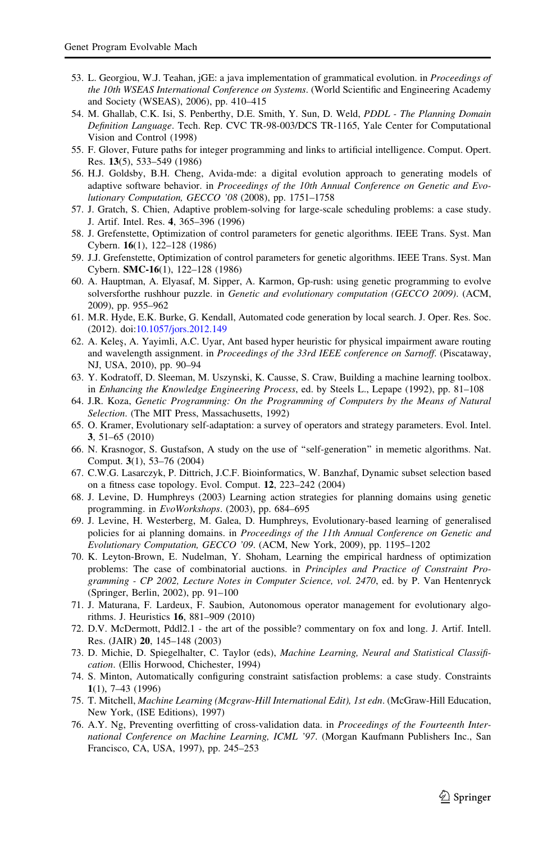- <span id="page-30-0"></span>53. L. Georgiou, W.J. Teahan, jGE: a java implementation of grammatical evolution. in Proceedings of the 10th WSEAS International Conference on Systems. (World Scientific and Engineering Academy and Society (WSEAS), 2006), pp. 410–415
- 54. M. Ghallab, C.K. Isi, S. Penberthy, D.E. Smith, Y. Sun, D. Weld, PDDL The Planning Domain Definition Language. Tech. Rep. CVC TR-98-003/DCS TR-1165, Yale Center for Computational Vision and Control (1998)
- 55. F. Glover, Future paths for integer programming and links to artificial intelligence. Comput. Opert. Res. 13(5), 533–549 (1986)
- 56. H.J. Goldsby, B.H. Cheng, Avida-mde: a digital evolution approach to generating models of adaptive software behavior. in Proceedings of the 10th Annual Conference on Genetic and Evolutionary Computation, GECCO '08 (2008), pp. 1751–1758
- 57. J. Gratch, S. Chien, Adaptive problem-solving for large-scale scheduling problems: a case study. J. Artif. Intel. Res. 4, 365–396 (1996)
- 58. J. Grefenstette, Optimization of control parameters for genetic algorithms. IEEE Trans. Syst. Man Cybern. 16(1), 122–128 (1986)
- 59. J.J. Grefenstette, Optimization of control parameters for genetic algorithms. IEEE Trans. Syst. Man Cybern. SMC-16(1), 122–128 (1986)
- 60. A. Hauptman, A. Elyasaf, M. Sipper, A. Karmon, Gp-rush: using genetic programming to evolve solversforthe rushhour puzzle. in Genetic and evolutionary computation (GECCO 2009). (ACM, 2009), pp. 955–962
- 61. M.R. Hyde, E.K. Burke, G. Kendall, Automated code generation by local search. J. Oper. Res. Soc. (2012). doi:[10.1057/jors.2012.149](http://dx.doi.org/10.1057/jors.2012.149)
- 62. A. Keles¸, A. Yayimli, A.C. Uyar, Ant based hyper heuristic for physical impairment aware routing and wavelength assignment. in Proceedings of the 33rd IEEE conference on Sarnoff. (Piscataway, NJ, USA, 2010), pp. 90–94
- 63. Y. Kodratoff, D. Sleeman, M. Uszynski, K. Causse, S. Craw, Building a machine learning toolbox. in Enhancing the Knowledge Engineering Process, ed. by Steels L., Lepape (1992), pp. 81–108
- 64. J.R. Koza, Genetic Programming: On the Programming of Computers by the Means of Natural Selection. (The MIT Press, Massachusetts, 1992)
- 65. O. Kramer, Evolutionary self-adaptation: a survey of operators and strategy parameters. Evol. Intel. 3, 51–65 (2010)
- 66. N. Krasnogor, S. Gustafson, A study on the use of ''self-generation'' in memetic algorithms. Nat. Comput. 3(1), 53–76 (2004)
- 67. C.W.G. Lasarczyk, P. Dittrich, J.C.F. Bioinformatics, W. Banzhaf, Dynamic subset selection based on a fitness case topology. Evol. Comput. 12, 223–242 (2004)
- 68. J. Levine, D. Humphreys (2003) Learning action strategies for planning domains using genetic programming. in EvoWorkshops. (2003), pp. 684–695
- 69. J. Levine, H. Westerberg, M. Galea, D. Humphreys, Evolutionary-based learning of generalised policies for ai planning domains. in *Proceedings of the 11th Annual Conference on Genetic and* Evolutionary Computation, GECCO '09. (ACM, New York, 2009), pp. 1195–1202
- 70. K. Leyton-Brown, E. Nudelman, Y. Shoham, Learning the empirical hardness of optimization problems: The case of combinatorial auctions. in Principles and Practice of Constraint Programming - CP 2002, Lecture Notes in Computer Science, vol. 2470, ed. by P. Van Hentenryck (Springer, Berlin, 2002), pp. 91–100
- 71. J. Maturana, F. Lardeux, F. Saubion, Autonomous operator management for evolutionary algorithms. J. Heuristics 16, 881–909 (2010)
- 72. D.V. McDermott, Pddl2.1 the art of the possible? commentary on fox and long. J. Artif. Intell. Res. (JAIR) 20, 145–148 (2003)
- 73. D. Michie, D. Spiegelhalter, C. Taylor (eds), Machine Learning, Neural and Statistical Classification. (Ellis Horwood, Chichester, 1994)
- 74. S. Minton, Automatically configuring constraint satisfaction problems: a case study. Constraints 1(1), 7–43 (1996)
- 75. T. Mitchell, Machine Learning (Mcgraw-Hill International Edit), 1st edn. (McGraw-Hill Education, New York, (ISE Editions), 1997)
- 76. A.Y. Ng, Preventing overfitting of cross-validation data. in Proceedings of the Fourteenth International Conference on Machine Learning, ICML '97. (Morgan Kaufmann Publishers Inc., San Francisco, CA, USA, 1997), pp. 245–253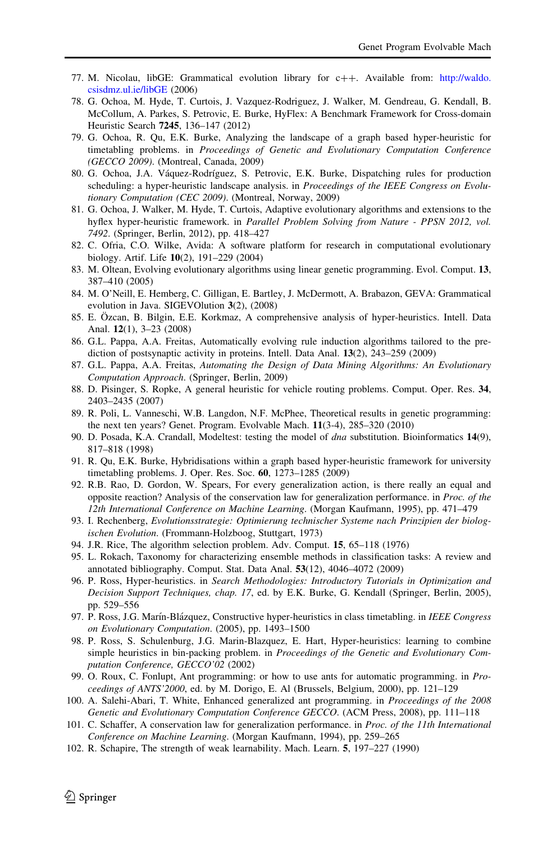- <span id="page-31-0"></span>77. M. Nicolau, libGE: Grammatical evolution library for  $c++$ . Available from: [http://waldo.](http://waldo.csisdmz.ul.ie/libGE) [csisdmz.ul.ie/libGE](http://waldo.csisdmz.ul.ie/libGE) (2006)
- 78. G. Ochoa, M. Hyde, T. Curtois, J. Vazquez-Rodriguez, J. Walker, M. Gendreau, G. Kendall, B. McCollum, A. Parkes, S. Petrovic, E. Burke, HyFlex: A Benchmark Framework for Cross-domain Heuristic Search 7245, 136–147 (2012)
- 79. G. Ochoa, R. Qu, E.K. Burke, Analyzing the landscape of a graph based hyper-heuristic for timetabling problems. in Proceedings of Genetic and Evolutionary Computation Conference (GECCO 2009). (Montreal, Canada, 2009)
- 80. G. Ochoa, J.A. Váquez-Rodríguez, S. Petrovic, E.K. Burke, Dispatching rules for production scheduling: a hyper-heuristic landscape analysis. in *Proceedings of the IEEE Congress on Evolu*tionary Computation (CEC 2009). (Montreal, Norway, 2009)
- 81. G. Ochoa, J. Walker, M. Hyde, T. Curtois, Adaptive evolutionary algorithms and extensions to the hyflex hyper-heuristic framework. in Parallel Problem Solving from Nature - PPSN 2012, vol. 7492. (Springer, Berlin, 2012), pp. 418–427
- 82. C. Ofria, C.O. Wilke, Avida: A software platform for research in computational evolutionary biology. Artif. Life 10(2), 191–229 (2004)
- 83. M. Oltean, Evolving evolutionary algorithms using linear genetic programming. Evol. Comput. 13, 387–410 (2005)
- 84. M. O'Neill, E. Hemberg, C. Gilligan, E. Bartley, J. McDermott, A. Brabazon, GEVA: Grammatical evolution in Java. SIGEVOlution 3(2), (2008)
- 85. E. Özcan, B. Bilgin, E.E. Korkmaz, A comprehensive analysis of hyper-heuristics. Intell. Data Anal. 12(1), 3–23 (2008)
- 86. G.L. Pappa, A.A. Freitas, Automatically evolving rule induction algorithms tailored to the prediction of postsynaptic activity in proteins. Intell. Data Anal. 13(2), 243–259 (2009)
- 87. G.L. Pappa, A.A. Freitas, Automating the Design of Data Mining Algorithms: An Evolutionary Computation Approach. (Springer, Berlin, 2009)
- 88. D. Pisinger, S. Ropke, A general heuristic for vehicle routing problems. Comput. Oper. Res. 34, 2403–2435 (2007)
- 89. R. Poli, L. Vanneschi, W.B. Langdon, N.F. McPhee, Theoretical results in genetic programming: the next ten years? Genet. Program. Evolvable Mach. 11(3-4), 285–320 (2010)
- 90. D. Posada, K.A. Crandall, Modeltest: testing the model of dna substitution. Bioinformatics 14(9), 817–818 (1998)
- 91. R. Qu, E.K. Burke, Hybridisations within a graph based hyper-heuristic framework for university timetabling problems. J. Oper. Res. Soc. 60, 1273–1285 (2009)
- 92. R.B. Rao, D. Gordon, W. Spears, For every generalization action, is there really an equal and opposite reaction? Analysis of the conservation law for generalization performance. in Proc. of the 12th International Conference on Machine Learning. (Morgan Kaufmann, 1995), pp. 471–479
- 93. I. Rechenberg, Evolutionsstrategie: Optimierung technischer Systeme nach Prinzipien der biologischen Evolution. (Frommann-Holzboog, Stuttgart, 1973)
- 94. J.R. Rice, The algorithm selection problem. Adv. Comput. 15, 65–118 (1976)
- 95. L. Rokach, Taxonomy for characterizing ensemble methods in classification tasks: A review and annotated bibliography. Comput. Stat. Data Anal. 53(12), 4046–4072 (2009)
- 96. P. Ross, Hyper-heuristics. in Search Methodologies: Introductory Tutorials in Optimization and Decision Support Techniques, chap. 17, ed. by E.K. Burke, G. Kendall (Springer, Berlin, 2005), pp. 529–556
- 97. P. Ross, J.G. Marín-Blázquez, Constructive hyper-heuristics in class timetabling. in IEEE Congress on Evolutionary Computation. (2005), pp. 1493–1500
- 98. P. Ross, S. Schulenburg, J.G. Marin-Blazquez, E. Hart, Hyper-heuristics: learning to combine simple heuristics in bin-packing problem. in Proceedings of the Genetic and Evolutionary Computation Conference, GECCO'02 (2002)
- 99. O. Roux, C. Fonlupt, Ant programming: or how to use ants for automatic programming. in Proceedings of ANTS'2000, ed. by M. Dorigo, E. Al (Brussels, Belgium, 2000), pp. 121–129
- 100. A. Salehi-Abari, T. White, Enhanced generalized ant programming. in Proceedings of the 2008 Genetic and Evolutionary Computation Conference GECCO. (ACM Press, 2008), pp. 111–118
- 101. C. Schaffer, A conservation law for generalization performance. in Proc. of the 11th International Conference on Machine Learning. (Morgan Kaufmann, 1994), pp. 259–265
- 102. R. Schapire, The strength of weak learnability. Mach. Learn. 5, 197–227 (1990)